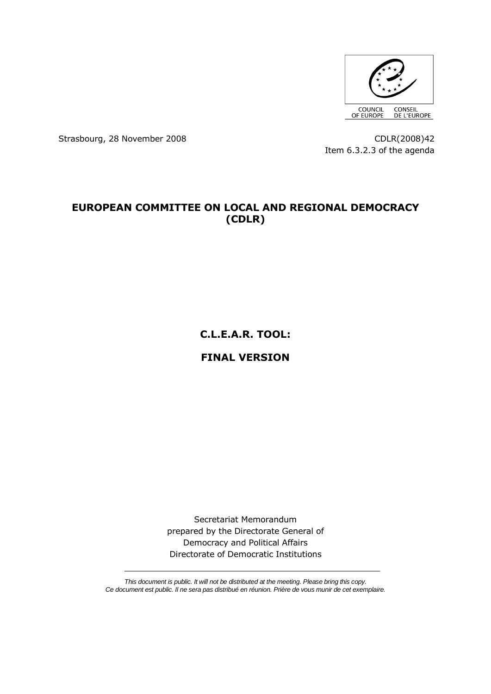

Strasbourg, 28 November 2008 CDLR(2008)42

Item 6.3.2.3 of the agenda

## **EUROPEAN COMMITTEE ON LOCAL AND REGIONAL DEMOCRACY (CDLR)**

**C.L.E.A.R. TOOL:**

# **FINAL VERSION**

Secretariat Memorandum prepared by the Directorate General of Democracy and Political Affairs Directorate of Democratic Institutions

*This document is public. It will not be distributed at the meeting. Please bring this copy. Ce document est public. Il ne sera pas distribué en réunion. Prière de vous munir de cet exemplaire.*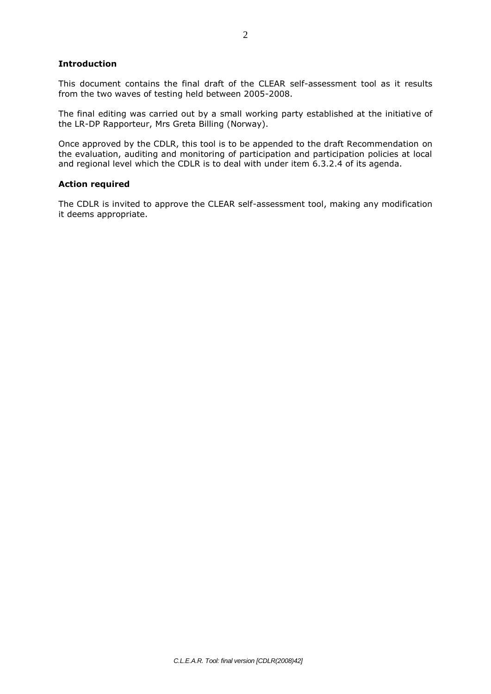## **Introduction**

This document contains the final draft of the CLEAR self-assessment tool as it results from the two waves of testing held between 2005-2008.

The final editing was carried out by a small working party established at the initiative of the LR-DP Rapporteur, Mrs Greta Billing (Norway).

Once approved by the CDLR, this tool is to be appended to the draft Recommendation on the evaluation, auditing and monitoring of participation and participation policies at local and regional level which the CDLR is to deal with under item 6.3.2.4 of its agenda.

#### **Action required**

The CDLR is invited to approve the CLEAR self-assessment tool, making any modification it deems appropriate.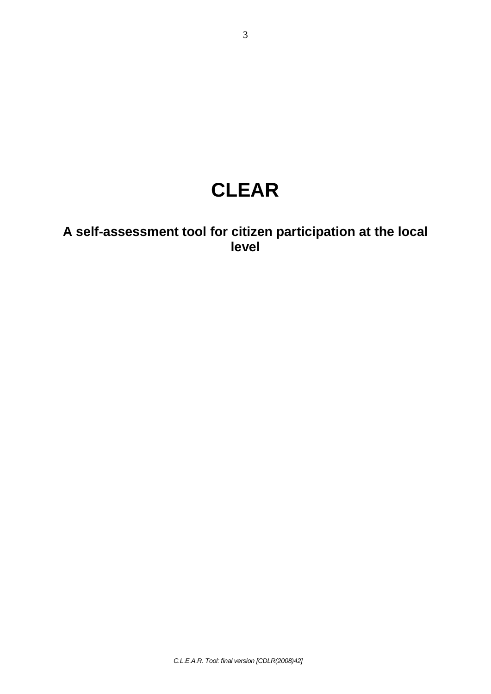# **CLEAR**

# **A self-assessment tool for citizen participation at the local level**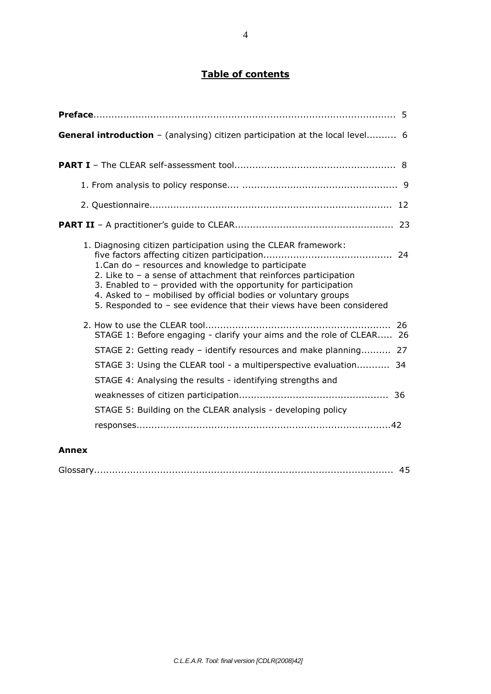# **Table of contents**

| <b>General introduction</b> - (analysing) citizen participation at the local level 6                                                                                                                                                                                                                                                                                                                      |
|-----------------------------------------------------------------------------------------------------------------------------------------------------------------------------------------------------------------------------------------------------------------------------------------------------------------------------------------------------------------------------------------------------------|
|                                                                                                                                                                                                                                                                                                                                                                                                           |
|                                                                                                                                                                                                                                                                                                                                                                                                           |
|                                                                                                                                                                                                                                                                                                                                                                                                           |
|                                                                                                                                                                                                                                                                                                                                                                                                           |
| 1. Diagnosing citizen participation using the CLEAR framework:<br>1. Can do - resources and knowledge to participate<br>2. Like to $-$ a sense of attachment that reinforces participation<br>3. Enabled to $-$ provided with the opportunity for participation<br>4. Asked to - mobilised by official bodies or voluntary groups<br>5. Responded to - see evidence that their views have been considered |
| STAGE 1: Before engaging - clarify your aims and the role of CLEAR 26                                                                                                                                                                                                                                                                                                                                     |
| STAGE 2: Getting ready - identify resources and make planning 27                                                                                                                                                                                                                                                                                                                                          |
| STAGE 3: Using the CLEAR tool - a multiperspective evaluation 34                                                                                                                                                                                                                                                                                                                                          |
| STAGE 4: Analysing the results - identifying strengths and                                                                                                                                                                                                                                                                                                                                                |
|                                                                                                                                                                                                                                                                                                                                                                                                           |
| STAGE 5: Building on the CLEAR analysis - developing policy                                                                                                                                                                                                                                                                                                                                               |
|                                                                                                                                                                                                                                                                                                                                                                                                           |

## **Annex**

| . USSAI Virtualia alternativa alternativa alternativa alternativa alternativa alternativa alternativ |  |
|------------------------------------------------------------------------------------------------------|--|
|------------------------------------------------------------------------------------------------------|--|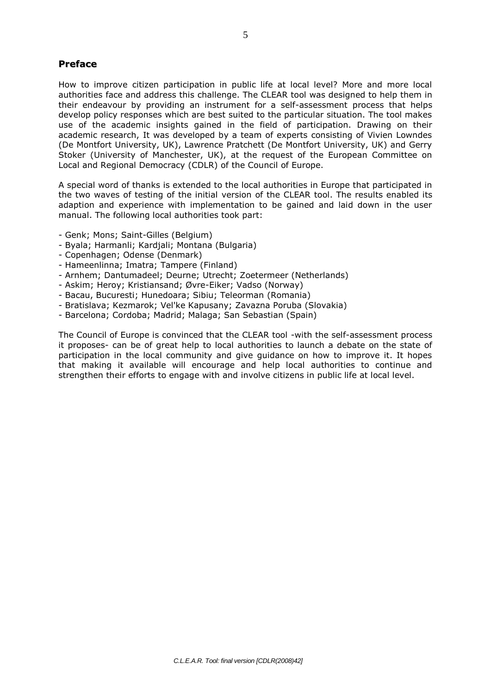## **Preface**

How to improve citizen participation in public life at local level? More and more local authorities face and address this challenge. The CLEAR tool was designed to help them in their endeavour by providing an instrument for a self-assessment process that helps develop policy responses which are best suited to the particular situation. The tool makes use of the academic insights gained in the field of participation. Drawing on their academic research, It was developed by a team of experts consisting of Vivien Lowndes (De Montfort University, UK), Lawrence Pratchett (De Montfort University, UK) and Gerry Stoker (University of Manchester, UK), at the request of the European Committee on Local and Regional Democracy (CDLR) of the Council of Europe.

A special word of thanks is extended to the local authorities in Europe that participated in the two waves of testing of the initial version of the CLEAR tool. The results enabled its adaption and experience with implementation to be gained and laid down in the user manual. The following local authorities took part:

- Genk; Mons; Saint-Gilles (Belgium)
- Byala; Harmanli; Kardjali; Montana (Bulgaria)
- Copenhagen; Odense (Denmark)
- Hameenlinna; Imatra; Tampere (Finland)
- Arnhem; Dantumadeel; Deurne; Utrecht; Zoetermeer (Netherlands)
- Askim; Heroy; Kristiansand; Øvre-Eiker; Vadso (Norway)
- Bacau, Bucuresti; Hunedoara; Sibiu; Teleorman (Romania)
- Bratislava; Kezmarok; Vel'ke Kapusany; Zavazna Poruba (Slovakia)
- Barcelona; Cordoba; Madrid; Malaga; San Sebastian (Spain)

The Council of Europe is convinced that the CLEAR tool -with the self-assessment process it proposes- can be of great help to local authorities to launch a debate on the state of participation in the local community and give guidance on how to improve it. It hopes that making it available will encourage and help local authorities to continue and strengthen their efforts to engage with and involve citizens in public life at local level.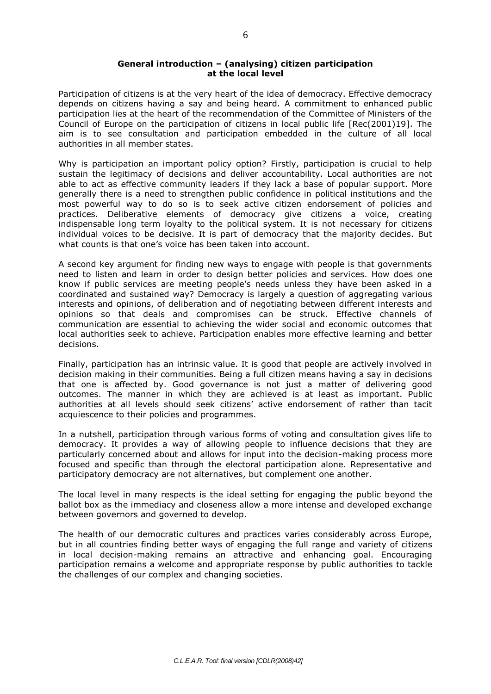## **General introduction – (analysing) citizen participation at the local level**

Participation of citizens is at the very heart of the idea of democracy. Effective democracy depends on citizens having a say and being heard. A commitment to enhanced public participation lies at the heart of the recommendation of the Committee of Ministers of the Council of Europe on the participation of citizens in local public life [Rec(2001)19]. The aim is to see consultation and participation embedded in the culture of all local authorities in all member states.

Why is participation an important policy option? Firstly, participation is crucial to help sustain the legitimacy of decisions and deliver accountability. Local authorities are not able to act as effective community leaders if they lack a base of popular support. More generally there is a need to strengthen public confidence in political institutions and the most powerful way to do so is to seek active citizen endorsement of policies and practices. Deliberative elements of democracy give citizens a voice, creating indispensable long term loyalty to the political system. It is not necessary for citizens individual voices to be decisive. It is part of democracy that the majority decides. But what counts is that one's voice has been taken into account.

A second key argument for finding new ways to engage with people is that governments need to listen and learn in order to design better policies and services. How does one know if public services are meeting people's needs unless they have been asked in a coordinated and sustained way? Democracy is largely a question of aggregating various interests and opinions, of deliberation and of negotiating between different interests and opinions so that deals and compromises can be struck. Effective channels of communication are essential to achieving the wider social and economic outcomes that local authorities seek to achieve. Participation enables more effective learning and better decisions.

Finally, participation has an intrinsic value. It is good that people are actively involved in decision making in their communities. Being a full citizen means having a say in decisions that one is affected by. Good governance is not just a matter of delivering good outcomes. The manner in which they are achieved is at least as important. Public authorities at all levels should seek citizens' active endorsement of rather than tacit acquiescence to their policies and programmes.

In a nutshell, participation through various forms of voting and consultation gives life to democracy. It provides a way of allowing people to influence decisions that they are particularly concerned about and allows for input into the decision-making process more focused and specific than through the electoral participation alone. Representative and participatory democracy are not alternatives, but complement one another.

The local level in many respects is the ideal setting for engaging the public beyond the ballot box as the immediacy and closeness allow a more intense and developed exchange between governors and governed to develop.

The health of our democratic cultures and practices varies considerably across Europe, but in all countries finding better ways of engaging the full range and variety of citizens in local decision-making remains an attractive and enhancing goal. Encouraging participation remains a welcome and appropriate response by public authorities to tackle the challenges of our complex and changing societies.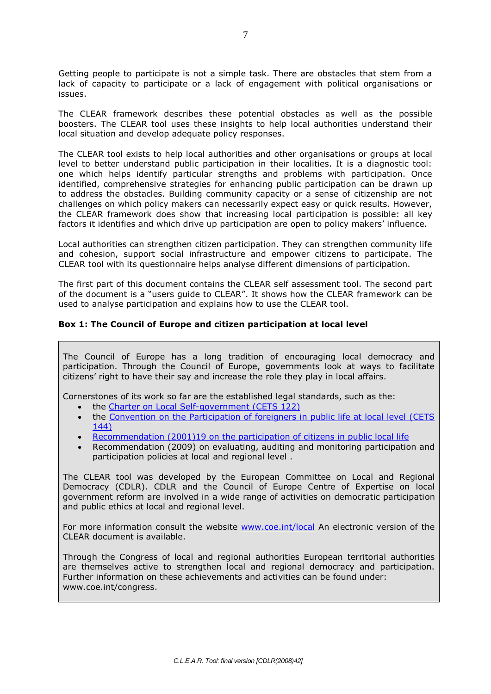Getting people to participate is not a simple task. There are obstacles that stem from a lack of capacity to participate or a lack of engagement with political organisations or issues.

The CLEAR framework describes these potential obstacles as well as the possible boosters. The CLEAR tool uses these insights to help local authorities understand their local situation and develop adequate policy responses.

The CLEAR tool exists to help local authorities and other organisations or groups at local level to better understand public participation in their localities. It is a diagnostic tool: one which helps identify particular strengths and problems with participation. Once identified, comprehensive strategies for enhancing public participation can be drawn up to address the obstacles. Building community capacity or a sense of citizenship are not challenges on which policy makers can necessarily expect easy or quick results. However, the CLEAR framework does show that increasing local participation is possible: all key factors it identifies and which drive up participation are open to policy makers' influence.

Local authorities can strengthen citizen participation. They can strengthen community life and cohesion, support social infrastructure and empower citizens to participate. The CLEAR tool with its questionnaire helps analyse different dimensions of participation.

The first part of this document contains the CLEAR self assessment tool. The second part of the document is a "users guide to CLEAR". It shows how the CLEAR framework can be used to analyse participation and explains how to use the CLEAR tool.

## **Box 1: The Council of Europe and citizen participation at local level**

The Council of Europe has a long tradition of encouraging local democracy and participation. Through the Council of Europe, governments look at ways to facilitate citizens' right to have their say and increase the role they play in local affairs.

Cornerstones of its work so far are the established legal standards, such as the:

- the [Charter on Local Self-government \(CETS 122\)](http://conventions.coe.int/Treaty/Commun/QueVoulezVous.asp?NT=122&CM=8&DF=11/01/2006&CL=ENG)
- the Convention on the Participation of foreigners in public life at local level (CETS [144\)](http://conventions.coe.int/Treaty/Commun/QueVoulezVous.asp?NT=144&CM=8&DF=11/01/2006&CL=ENG)
- [Recommendation \(2001\)19 on the participation of citizens in public local life](http://wcd.coe.int/com.instranet.InstraServlet?Command=com.instranet.CmdBlobGet&DocId=234768&SecMode=1&Admin=0&Usage=4&InstranetImage=65124)
- Recommendation (2009) on evaluating, auditing and monitoring participation and participation policies at local and regional level .

The CLEAR tool was developed by the European Committee on Local and Regional Democracy (CDLR). CDLR and the Council of Europe Centre of Expertise on local government reform are involved in a wide range of activities on democratic participation and public ethics at local and regional level.

For more information consult the website [www.coe.int/local](http://www.coe.int/local) An electronic version of the CLEAR document is available.

Through the Congress of local and regional authorities European territorial authorities are themselves active to strengthen local and regional democracy and participation. Further information on these achievements and activities can be found under: www.coe.int/congress.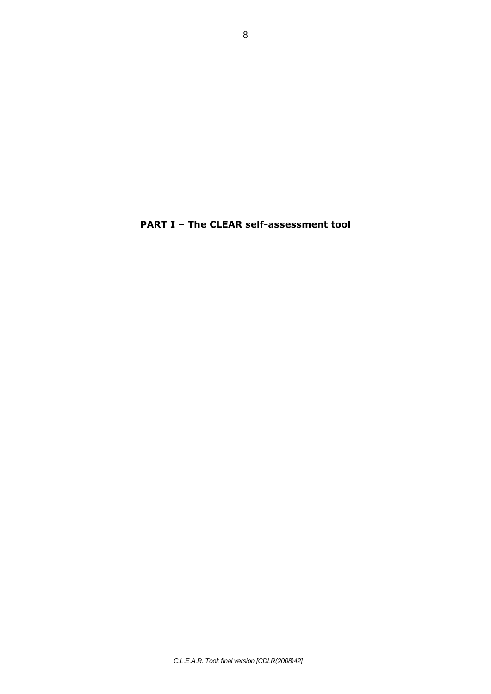**PART I – The CLEAR self-assessment tool**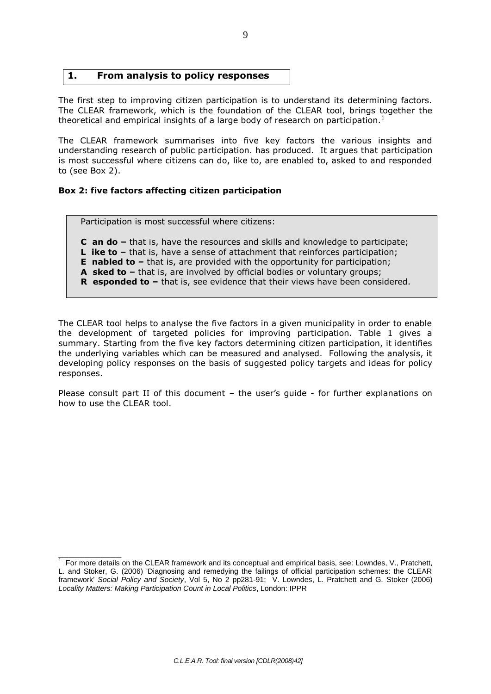## **1. From analysis to policy responses**

The first step to improving citizen participation is to understand its determining factors. The CLEAR framework, which is the foundation of the CLEAR tool, brings together the theoretical and empirical insights of a large body of research on participation.<sup>1</sup>

The CLEAR framework summarises into five key factors the various insights and understanding research of public participation. has produced. It argues that participation is most successful where citizens can do, like to, are enabled to, asked to and responded to (see Box 2).

## **Box 2: five factors affecting citizen participation**

 $\mathcal{L}$  and  $\mathcal{L}$  and  $\mathcal{L}$ 

Participation is most successful where citizens:

**C an do –** that is, have the resources and skills and knowledge to participate;

**L** ike to – that is, have a sense of attachment that reinforces participation;

**E** nabled to – that is, are provided with the opportunity for participation;

**A** sked to – that is, are involved by official bodies or voluntary groups;

**R** esponded to – that is, see evidence that their views have been considered.

The CLEAR tool helps to analyse the five factors in a given municipality in order to enable the development of targeted policies for improving participation. Table 1 gives a summary. Starting from the five key factors determining citizen participation, it identifies the underlying variables which can be measured and analysed. Following the analysis, it developing policy responses on the basis of suggested policy targets and ideas for policy responses.

Please consult part II of this document – the user's guide - for further explanations on how to use the CLEAR tool.

 $1$  For more details on the CLEAR framework and its conceptual and empirical basis, see: Lowndes, V., Pratchett, L. and Stoker, G. (2006) 'Diagnosing and remedying the failings of official participation schemes: the CLEAR framework' *Social Policy and Society*, Vol 5, No 2 pp281-91; V. Lowndes, L. Pratchett and G. Stoker (2006) *Locality Matters: Making Participation Count in Local Politics*, London: IPPR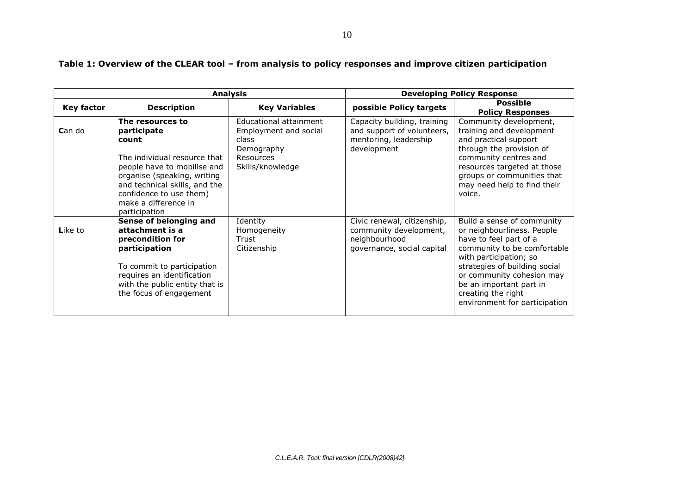|                   |                                                                                                                                                                                                                                             | <b>Analysis</b>                                                                                         |                                                                                                      | <b>Developing Policy Response</b>                                                                                                                                                                                                                                                           |
|-------------------|---------------------------------------------------------------------------------------------------------------------------------------------------------------------------------------------------------------------------------------------|---------------------------------------------------------------------------------------------------------|------------------------------------------------------------------------------------------------------|---------------------------------------------------------------------------------------------------------------------------------------------------------------------------------------------------------------------------------------------------------------------------------------------|
| <b>Key factor</b> | <b>Description</b>                                                                                                                                                                                                                          | <b>Key Variables</b>                                                                                    | possible Policy targets                                                                              | <b>Possible</b><br><b>Policy Responses</b>                                                                                                                                                                                                                                                  |
| Can do            | The resources to<br>participate<br>count<br>The individual resource that<br>people have to mobilise and<br>organise (speaking, writing<br>and technical skills, and the<br>confidence to use them)<br>make a difference in<br>participation | Educational attainment<br>Employment and social<br>class<br>Demography<br>Resources<br>Skills/knowledge | Capacity building, training<br>and support of volunteers,<br>mentoring, leadership<br>development    | Community development,<br>training and development<br>and practical support<br>through the provision of<br>community centres and<br>resources targeted at those<br>groups or communities that<br>may need help to find their<br>voice.                                                      |
| Like to           | Sense of belonging and<br>attachment is a<br>precondition for<br>participation<br>To commit to participation<br>requires an identification<br>with the public entity that is<br>the focus of engagement                                     | Identity<br>Homogeneity<br>Trust<br>Citizenship                                                         | Civic renewal, citizenship,<br>community development,<br>neighbourhood<br>governance, social capital | Build a sense of community<br>or neighbourliness. People<br>have to feel part of a<br>community to be comfortable<br>with participation; so<br>strategies of building social<br>or community cohesion may<br>be an important part in<br>creating the right<br>environment for participation |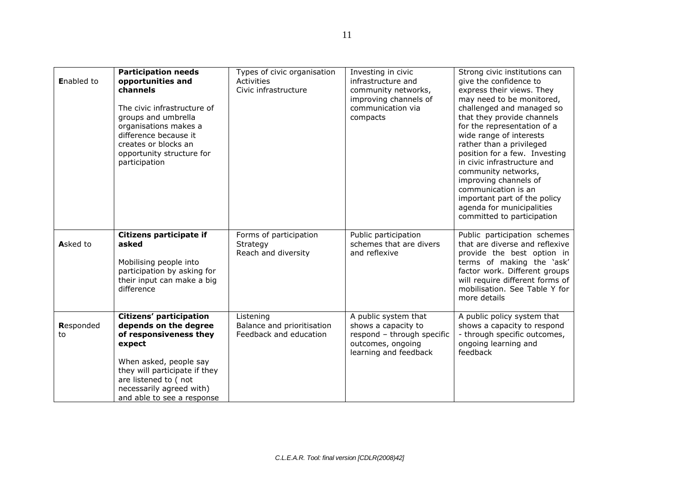| <b>Enabled to</b> | <b>Participation needs</b><br>opportunities and<br>channels<br>The civic infrastructure of<br>groups and umbrella<br>organisations makes a<br>difference because it<br>creates or blocks an<br>opportunity structure for<br>participation | Types of civic organisation<br>Activities<br>Civic infrastructure | Investing in civic<br>infrastructure and<br>community networks,<br>improving channels of<br>communication via<br>compacts | Strong civic institutions can<br>give the confidence to<br>express their views. They<br>may need to be monitored,<br>challenged and managed so<br>that they provide channels<br>for the representation of a<br>wide range of interests<br>rather than a privileged<br>position for a few. Investing<br>in civic infrastructure and<br>community networks,<br>improving channels of<br>communication is an<br>important part of the policy<br>agenda for municipalities<br>committed to participation |
|-------------------|-------------------------------------------------------------------------------------------------------------------------------------------------------------------------------------------------------------------------------------------|-------------------------------------------------------------------|---------------------------------------------------------------------------------------------------------------------------|------------------------------------------------------------------------------------------------------------------------------------------------------------------------------------------------------------------------------------------------------------------------------------------------------------------------------------------------------------------------------------------------------------------------------------------------------------------------------------------------------|
| Asked to          | Citizens participate if<br>asked<br>Mobilising people into<br>participation by asking for<br>their input can make a big<br>difference                                                                                                     | Forms of participation<br>Strategy<br>Reach and diversity         | Public participation<br>schemes that are divers<br>and reflexive                                                          | Public participation schemes<br>that are diverse and reflexive<br>provide the best option in<br>terms of making the 'ask'<br>factor work. Different groups<br>will require different forms of<br>mobilisation. See Table Y for<br>more details                                                                                                                                                                                                                                                       |
| Responded<br>to   | Citizens' participation<br>depends on the degree<br>of responsiveness they<br>expect<br>When asked, people say<br>they will participate if they<br>are listened to (not<br>necessarily agreed with)<br>and able to see a response         | Listening<br>Balance and prioritisation<br>Feedback and education | A public system that<br>shows a capacity to<br>respond - through specific<br>outcomes, ongoing<br>learning and feedback   | A public policy system that<br>shows a capacity to respond<br>- through specific outcomes,<br>ongoing learning and<br>feedback                                                                                                                                                                                                                                                                                                                                                                       |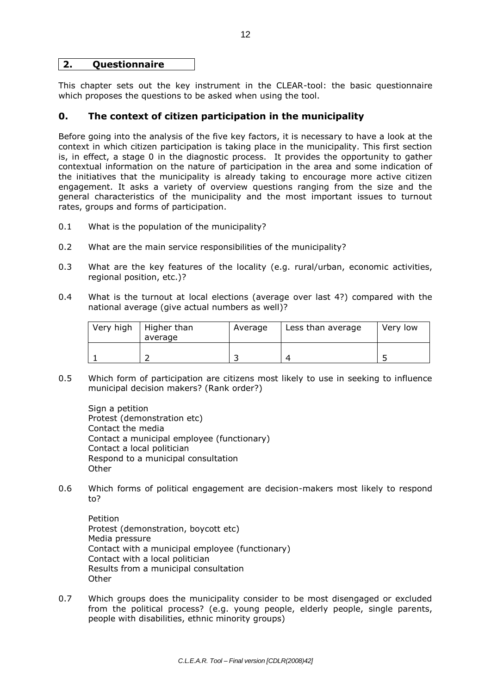## **2. Questionnaire**

This chapter sets out the key instrument in the CLEAR-tool: the basic questionnaire which proposes the questions to be asked when using the tool.

## **0. The context of citizen participation in the municipality**

Before going into the analysis of the five key factors, it is necessary to have a look at the context in which citizen participation is taking place in the municipality. This first section is, in effect, a stage 0 in the diagnostic process. It provides the opportunity to gather contextual information on the nature of participation in the area and some indication of the initiatives that the municipality is already taking to encourage more active citizen engagement. It asks a variety of overview questions ranging from the size and the general characteristics of the municipality and the most important issues to turnout rates, groups and forms of participation.

- 0.1 What is the population of the municipality?
- 0.2 What are the main service responsibilities of the municipality?
- 0.3 What are the key features of the locality (e.g. rural/urban, economic activities, regional position, etc.)?
- 0.4 What is the turnout at local elections (average over last 4?) compared with the national average (give actual numbers as well)?

| Very high | Higher than<br>average | Average | Less than average | Very low |
|-----------|------------------------|---------|-------------------|----------|
|           |                        |         |                   |          |

0.5 Which form of participation are citizens most likely to use in seeking to influence municipal decision makers? (Rank order?)

Sign a petition Protest (demonstration etc) Contact the media Contact a municipal employee (functionary) Contact a local politician Respond to a municipal consultation **Other** 

0.6 Which forms of political engagement are decision-makers most likely to respond to?

Petition Protest (demonstration, boycott etc) Media pressure Contact with a municipal employee (functionary) Contact with a local politician Results from a municipal consultation **Other** 

0.7 Which groups does the municipality consider to be most disengaged or excluded from the political process? (e.g. young people, elderly people, single parents, people with disabilities, ethnic minority groups)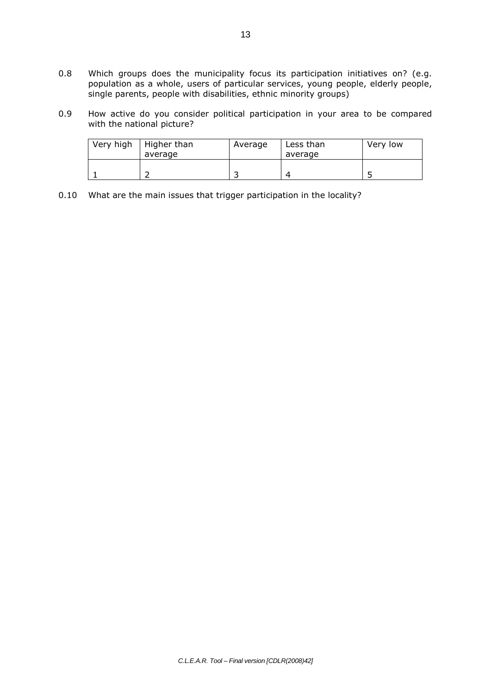- 0.8 Which groups does the municipality focus its participation initiatives on? (e.g. population as a whole, users of particular services, young people, elderly people, single parents, people with disabilities, ethnic minority groups)
- 0.9 How active do you consider political participation in your area to be compared with the national picture?

| Very high | Higher than<br>average | Average | Less than<br>average | Very low |
|-----------|------------------------|---------|----------------------|----------|
|           |                        |         | $\epsilon$           |          |

0.10 What are the main issues that trigger participation in the locality?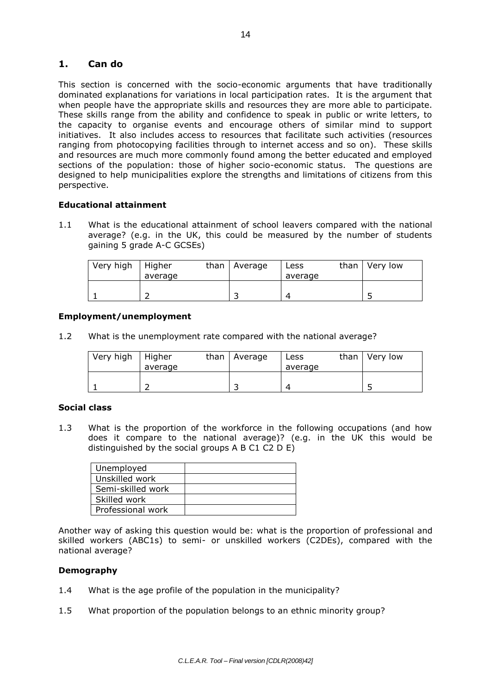## **1. Can do**

This section is concerned with the socio-economic arguments that have traditionally dominated explanations for variations in local participation rates. It is the argument that when people have the appropriate skills and resources they are more able to participate. These skills range from the ability and confidence to speak in public or write letters, to the capacity to organise events and encourage others of similar mind to support initiatives. It also includes access to resources that facilitate such activities (resources ranging from photocopying facilities through to internet access and so on). These skills and resources are much more commonly found among the better educated and employed sections of the population: those of higher socio-economic status. The questions are designed to help municipalities explore the strengths and limitations of citizens from this perspective.

## **Educational attainment**

1.1 What is the educational attainment of school leavers compared with the national average? (e.g. in the UK, this could be measured by the number of students gaining 5 grade A-C GCSEs)

| Very high | Higher<br>average | than $\vert$ Average | ∟ess<br>average | than | Very low |
|-----------|-------------------|----------------------|-----------------|------|----------|
|           |                   |                      |                 |      |          |

## **Employment/unemployment**

1.2 What is the unemployment rate compared with the national average?

| Very high | Higher<br>average | than $\vert$ Average | Less<br>average | than | Very low |
|-----------|-------------------|----------------------|-----------------|------|----------|
|           |                   |                      | 4               |      |          |

## **Social class**

1.3 What is the proportion of the workforce in the following occupations (and how does it compare to the national average)? (e.g. in the UK this would be distinguished by the social groups A B C1 C2 D E)

| Unemployed        |  |
|-------------------|--|
| Unskilled work    |  |
| Semi-skilled work |  |
| Skilled work      |  |
| Professional work |  |

Another way of asking this question would be: what is the proportion of professional and skilled workers (ABC1s) to semi- or unskilled workers (C2DEs), compared with the national average?

## **Demography**

- 1.4 What is the age profile of the population in the municipality?
- 1.5 What proportion of the population belongs to an ethnic minority group?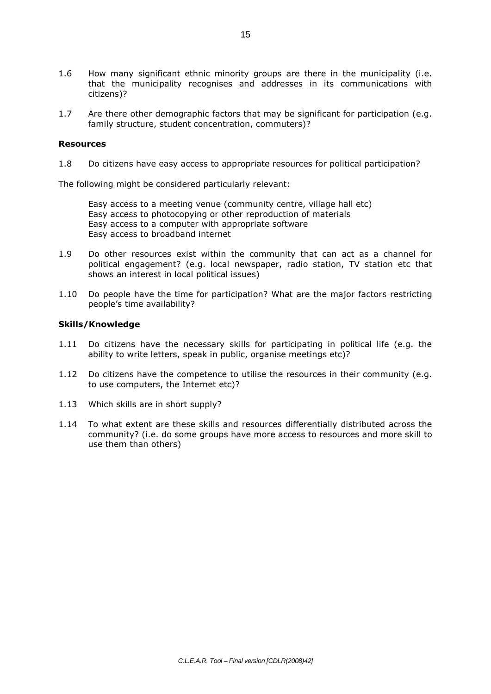- 1.6 How many significant ethnic minority groups are there in the municipality (i.e. that the municipality recognises and addresses in its communications with citizens)?
- 1.7 Are there other demographic factors that may be significant for participation (e.g. family structure, student concentration, commuters)?

#### **Resources**

1.8 Do citizens have easy access to appropriate resources for political participation?

The following might be considered particularly relevant:

Easy access to a meeting venue (community centre, village hall etc) Easy access to photocopying or other reproduction of materials Easy access to a computer with appropriate software Easy access to broadband internet

- 1.9 Do other resources exist within the community that can act as a channel for political engagement? (e.g. local newspaper, radio station, TV station etc that shows an interest in local political issues)
- 1.10 Do people have the time for participation? What are the major factors restricting people's time availability?

#### **Skills/Knowledge**

- 1.11 Do citizens have the necessary skills for participating in political life (e.g. the ability to write letters, speak in public, organise meetings etc)?
- 1.12 Do citizens have the competence to utilise the resources in their community (e.g. to use computers, the Internet etc)?
- 1.13 Which skills are in short supply?
- 1.14 To what extent are these skills and resources differentially distributed across the community? (i.e. do some groups have more access to resources and more skill to use them than others)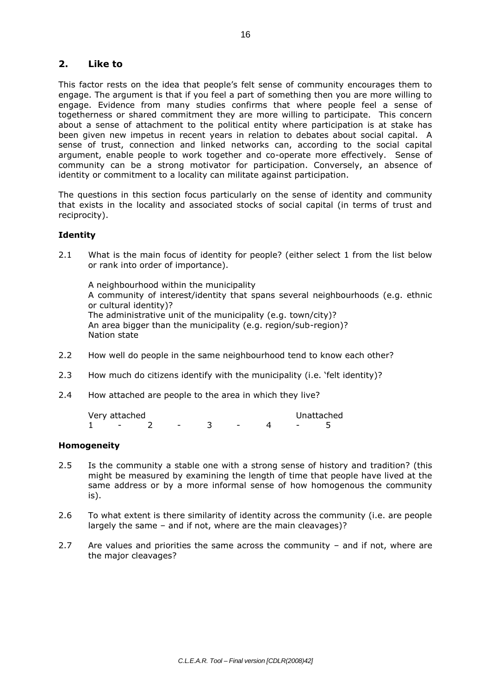## **2. Like to**

This factor rests on the idea that people's felt sense of community encourages them to engage. The argument is that if you feel a part of something then you are more willing to engage. Evidence from many studies confirms that where people feel a sense of togetherness or shared commitment they are more willing to participate. This concern about a sense of attachment to the political entity where participation is at stake has been given new impetus in recent years in relation to debates about social capital. A sense of trust, connection and linked networks can, according to the social capital argument, enable people to work together and co-operate more effectively. Sense of community can be a strong motivator for participation. Conversely, an absence of identity or commitment to a locality can militate against participation.

The questions in this section focus particularly on the sense of identity and community that exists in the locality and associated stocks of social capital (in terms of trust and reciprocity).

## **Identity**

2.1 What is the main focus of identity for people? (either select 1 from the list below or rank into order of importance).

A neighbourhood within the municipality A community of interest/identity that spans several neighbourhoods (e.g. ethnic or cultural identity)? The administrative unit of the municipality (e.g. town/city)? An area bigger than the municipality (e.g. region/sub-region)? Nation state

- 2.2 How well do people in the same neighbourhood tend to know each other?
- 2.3 How much do citizens identify with the municipality (i.e. 'felt identity)?
- 2.4 How attached are people to the area in which they live?

| Very attached |  |  |  | Unattached |
|---------------|--|--|--|------------|
|               |  |  |  |            |

## **Homogeneity**

- 2.5 Is the community a stable one with a strong sense of history and tradition? (this might be measured by examining the length of time that people have lived at the same address or by a more informal sense of how homogenous the community is).
- 2.6 To what extent is there similarity of identity across the community (i.e. are people largely the same – and if not, where are the main cleavages)?
- 2.7 Are values and priorities the same across the community and if not, where are the major cleavages?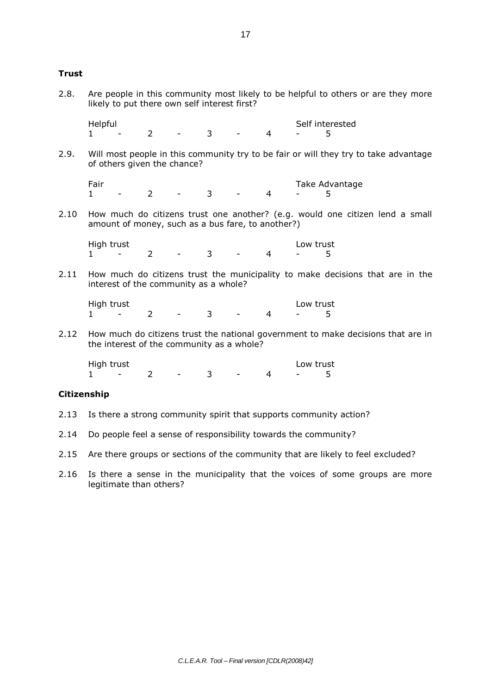## **Trust**

2.8. Are people in this community most likely to be helpful to others or are they more likely to put there own self interest first?

Helpful<br>
1 - 2 - 3 - 4 - 5 1 - 2 - 3 - 4 - 5

2.9. Will most people in this community try to be fair or will they try to take advantage of others given the chance?

Fair Fair Take Advantage<br>1 - 2 - 3 - 4 - 5 1 - 2 - 3 - 4 - 5

2.10 How much do citizens trust one another? (e.g. would one citizen lend a small amount of money, such as a bus fare, to another?)

High trust Low trust  $1$  - 2 - 3 - 4 - 5

2.11 How much do citizens trust the municipality to make decisions that are in the interest of the community as a whole?

High trust<br>1 - 2 - 3 - 4 - 5 1 - 2 - 3 - 4 - 5

2.12 How much do citizens trust the national government to make decisions that are in the interest of the community as a whole?

High trust<br>1  $-2 -3 -4 -5$ 1 - 2 - 3 - 4 - 5

## **Citizenship**

- 2.13 Is there a strong community spirit that supports community action?
- 2.14 Do people feel a sense of responsibility towards the community?
- 2.15 Are there groups or sections of the community that are likely to feel excluded?
- 2.16 Is there a sense in the municipality that the voices of some groups are more legitimate than others?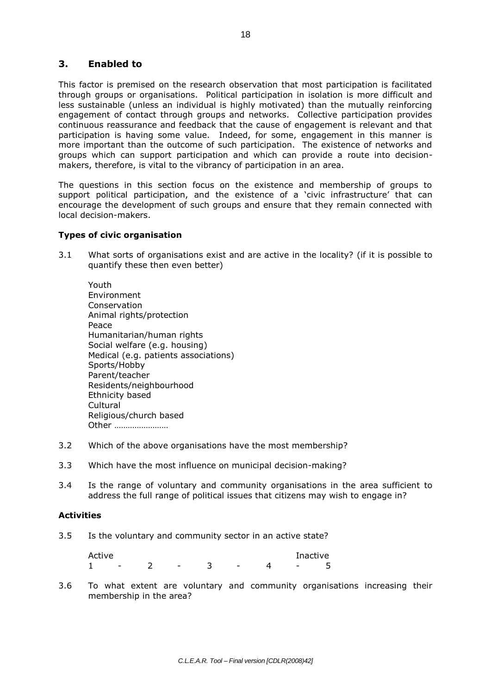## **3. Enabled to**

This factor is premised on the research observation that most participation is facilitated through groups or organisations. Political participation in isolation is more difficult and less sustainable (unless an individual is highly motivated) than the mutually reinforcing engagement of contact through groups and networks. Collective participation provides continuous reassurance and feedback that the cause of engagement is relevant and that participation is having some value. Indeed, for some, engagement in this manner is more important than the outcome of such participation. The existence of networks and groups which can support participation and which can provide a route into decisionmakers, therefore, is vital to the vibrancy of participation in an area.

The questions in this section focus on the existence and membership of groups to support political participation, and the existence of a 'civic infrastructure' that can encourage the development of such groups and ensure that they remain connected with local decision-makers.

## **Types of civic organisation**

3.1 What sorts of organisations exist and are active in the locality? (if it is possible to quantify these then even better)

Youth Environment Conservation Animal rights/protection Peace Humanitarian/human rights Social welfare (e.g. housing) Medical (e.g. patients associations) Sports/Hobby Parent/teacher Residents/neighbourhood Ethnicity based **Cultural** Religious/church based Other ……………………

- 3.2 Which of the above organisations have the most membership?
- 3.3 Which have the most influence on municipal decision-making?
- 3.4 Is the range of voluntary and community organisations in the area sufficient to address the full range of political issues that citizens may wish to engage in?

## **Activities**

3.5 Is the voluntary and community sector in an active state?

Active Inactive Inactive Inactive Inactive 1 - 2 - 3 - 4 - 5

3.6 To what extent are voluntary and community organisations increasing their membership in the area?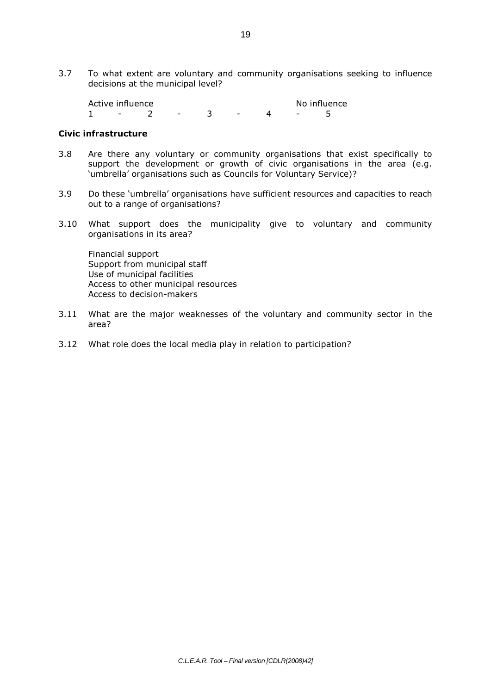3.7 To what extent are voluntary and community organisations seeking to influence decisions at the municipal level?

Active influence<br>1 - 2 - 3 - 4 - 5  $1 - 2 - 3 - 1$ 

## **Civic infrastructure**

- 3.8 Are there any voluntary or community organisations that exist specifically to support the development or growth of civic organisations in the area (e.g. 'umbrella' organisations such as Councils for Voluntary Service)?
- 3.9 Do these 'umbrella' organisations have sufficient resources and capacities to reach out to a range of organisations?
- 3.10 What support does the municipality give to voluntary and community organisations in its area?

Financial support Support from municipal staff Use of municipal facilities Access to other municipal resources Access to decision-makers

- 3.11 What are the major weaknesses of the voluntary and community sector in the area?
- 3.12 What role does the local media play in relation to participation?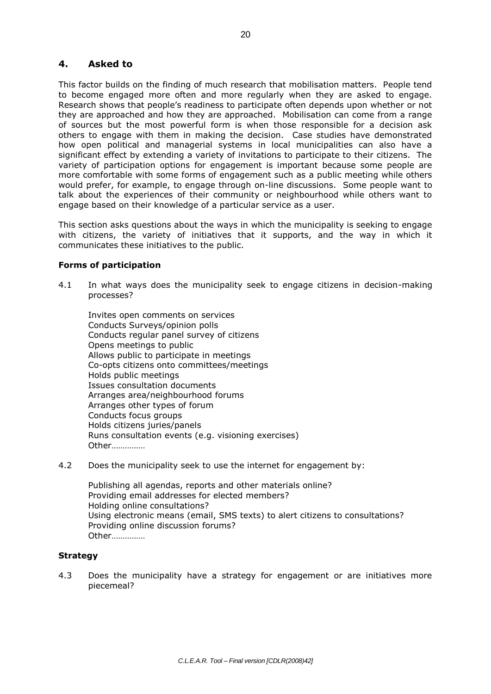## **4. Asked to**

This factor builds on the finding of much research that mobilisation matters. People tend to become engaged more often and more regularly when they are asked to engage. Research shows that people's readiness to participate often depends upon whether or not they are approached and how they are approached. Mobilisation can come from a range of sources but the most powerful form is when those responsible for a decision ask others to engage with them in making the decision. Case studies have demonstrated how open political and managerial systems in local municipalities can also have a significant effect by extending a variety of invitations to participate to their citizens. The variety of participation options for engagement is important because some people are more comfortable with some forms of engagement such as a public meeting while others would prefer, for example, to engage through on-line discussions. Some people want to talk about the experiences of their community or neighbourhood while others want to engage based on their knowledge of a particular service as a user.

This section asks questions about the ways in which the municipality is seeking to engage with citizens, the variety of initiatives that it supports, and the way in which it communicates these initiatives to the public.

## **Forms of participation**

4.1 In what ways does the municipality seek to engage citizens in decision-making processes?

Invites open comments on services Conducts Surveys/opinion polls Conducts regular panel survey of citizens Opens meetings to public Allows public to participate in meetings Co-opts citizens onto committees/meetings Holds public meetings Issues consultation documents Arranges area/neighbourhood forums Arranges other types of forum Conducts focus groups Holds citizens juries/panels Runs consultation events (e.g. visioning exercises) Other……………

4.2 Does the municipality seek to use the internet for engagement by:

Publishing all agendas, reports and other materials online? Providing email addresses for elected members? Holding online consultations? Using electronic means (email, SMS texts) to alert citizens to consultations? Providing online discussion forums? Other……………

## **Strategy**

4.3 Does the municipality have a strategy for engagement or are initiatives more piecemeal?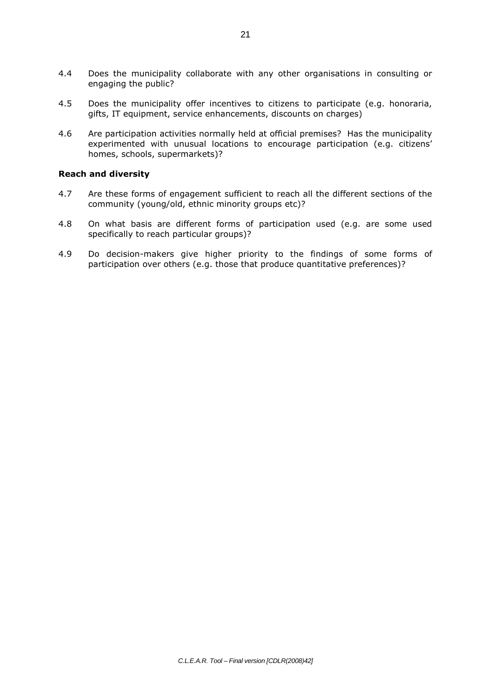- 4.4 Does the municipality collaborate with any other organisations in consulting or engaging the public?
- 4.5 Does the municipality offer incentives to citizens to participate (e.g. honoraria, gifts, IT equipment, service enhancements, discounts on charges)
- 4.6 Are participation activities normally held at official premises? Has the municipality experimented with unusual locations to encourage participation (e.g. citizens' homes, schools, supermarkets)?

#### **Reach and diversity**

- 4.7 Are these forms of engagement sufficient to reach all the different sections of the community (young/old, ethnic minority groups etc)?
- 4.8 On what basis are different forms of participation used (e.g. are some used specifically to reach particular groups)?
- 4.9 Do decision-makers give higher priority to the findings of some forms of participation over others (e.g. those that produce quantitative preferences)?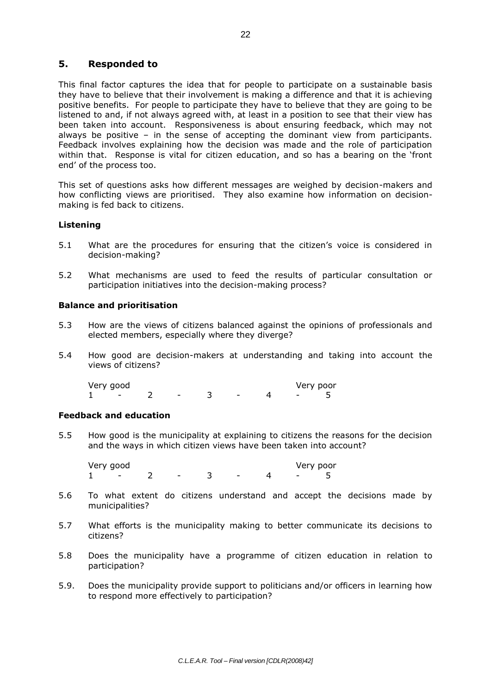## **5. Responded to**

This final factor captures the idea that for people to participate on a sustainable basis they have to believe that their involvement is making a difference and that it is achieving positive benefits. For people to participate they have to believe that they are going to be listened to and, if not always agreed with, at least in a position to see that their view has been taken into account. Responsiveness is about ensuring feedback, which may not always be positive – in the sense of accepting the dominant view from participants. Feedback involves explaining how the decision was made and the role of participation within that. Response is vital for citizen education, and so has a bearing on the 'front end' of the process too.

This set of questions asks how different messages are weighed by decision-makers and how conflicting views are prioritised. They also examine how information on decisionmaking is fed back to citizens.

## **Listening**

- 5.1 What are the procedures for ensuring that the citizen's voice is considered in decision-making?
- 5.2 What mechanisms are used to feed the results of particular consultation or participation initiatives into the decision-making process?

## **Balance and prioritisation**

- 5.3 How are the views of citizens balanced against the opinions of professionals and elected members, especially where they diverge?
- 5.4 How good are decision-makers at understanding and taking into account the views of citizens?

Very good Very poor 1 - 2 - 3 - 4 - 5

## **Feedback and education**

5.5 How good is the municipality at explaining to citizens the reasons for the decision and the ways in which citizen views have been taken into account?

Very good Uery poor<br>1 - 2 - 3 - 4 - 5  $1 \quad - \quad 2 \quad - \quad 3 \quad - \quad 4 \quad - \quad 5$ 

- 5.6 To what extent do citizens understand and accept the decisions made by municipalities?
- 5.7 What efforts is the municipality making to better communicate its decisions to citizens?
- 5.8 Does the municipality have a programme of citizen education in relation to participation?
- 5.9. Does the municipality provide support to politicians and/or officers in learning how to respond more effectively to participation?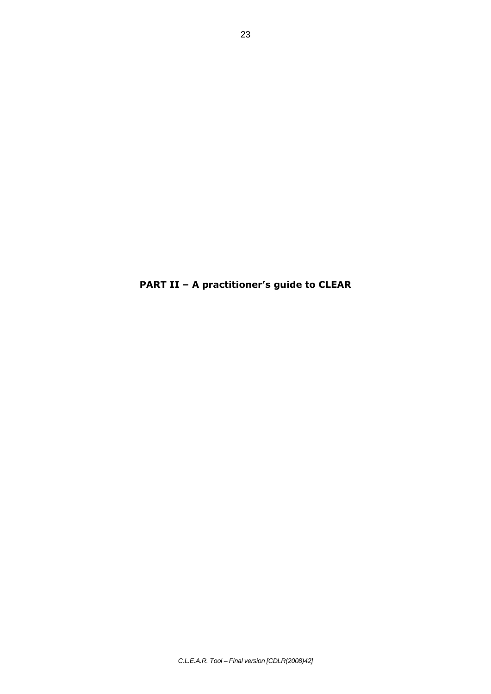**PART II – A practitioner's guide to CLEAR**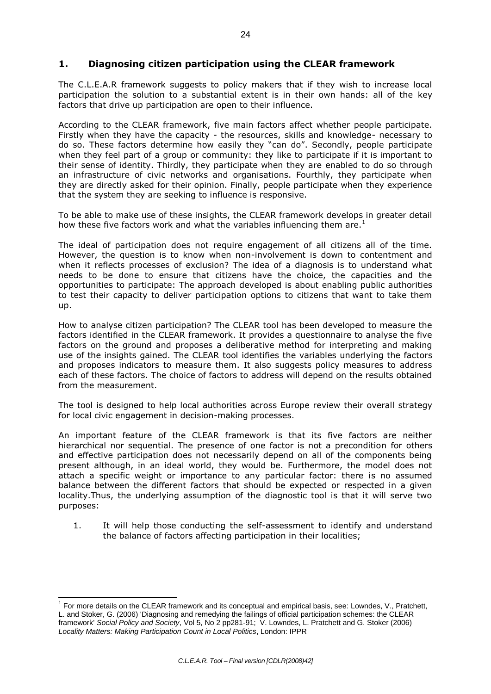## **1. Diagnosing citizen participation using the CLEAR framework**

The C.L.E.A.R framework suggests to policy makers that if they wish to increase local participation the solution to a substantial extent is in their own hands: all of the key factors that drive up participation are open to their influence.

According to the CLEAR framework, five main factors affect whether people participate. Firstly when they have the capacity - the resources, skills and knowledge- necessary to do so. These factors determine how easily they "can do". Secondly, people participate when they feel part of a group or community: they like to participate if it is important to their sense of identity. Thirdly, they participate when they are enabled to do so through an infrastructure of civic networks and organisations. Fourthly, they participate when they are directly asked for their opinion. Finally, people participate when they experience that the system they are seeking to influence is responsive.

To be able to make use of these insights, the CLEAR framework develops in greater detail how these five factors work and what the variables influencing them are.<sup>1</sup>

The ideal of participation does not require engagement of all citizens all of the time. However, the question is to know when non-involvement is down to contentment and when it reflects processes of exclusion? The idea of a diagnosis is to understand what needs to be done to ensure that citizens have the choice, the capacities and the opportunities to participate: The approach developed is about enabling public authorities to test their capacity to deliver participation options to citizens that want to take them up.

How to analyse citizen participation? The CLEAR tool has been developed to measure the factors identified in the CLEAR framework. It provides a questionnaire to analyse the five factors on the ground and proposes a deliberative method for interpreting and making use of the insights gained. The CLEAR tool identifies the variables underlying the factors and proposes indicators to measure them. It also suggests policy measures to address each of these factors. The choice of factors to address will depend on the results obtained from the measurement.

The tool is designed to help local authorities across Europe review their overall strategy for local civic engagement in decision-making processes.

An important feature of the CLEAR framework is that its five factors are neither hierarchical nor sequential. The presence of one factor is not a precondition for others and effective participation does not necessarily depend on all of the components being present although, in an ideal world, they would be. Furthermore, the model does not attach a specific weight or importance to any particular factor: there is no assumed balance between the different factors that should be expected or respected in a given locality.Thus, the underlying assumption of the diagnostic tool is that it will serve two purposes:

1. It will help those conducting the self-assessment to identify and understand the balance of factors affecting participation in their localities;

 1 For more details on the CLEAR framework and its conceptual and empirical basis, see: Lowndes, V., Pratchett, L. and Stoker, G. (2006) 'Diagnosing and remedying the failings of official participation schemes: the CLEAR framework' *Social Policy and Society*, Vol 5, No 2 pp281-91; V. Lowndes, L. Pratchett and G. Stoker (2006) *Locality Matters: Making Participation Count in Local Politics*, London: IPPR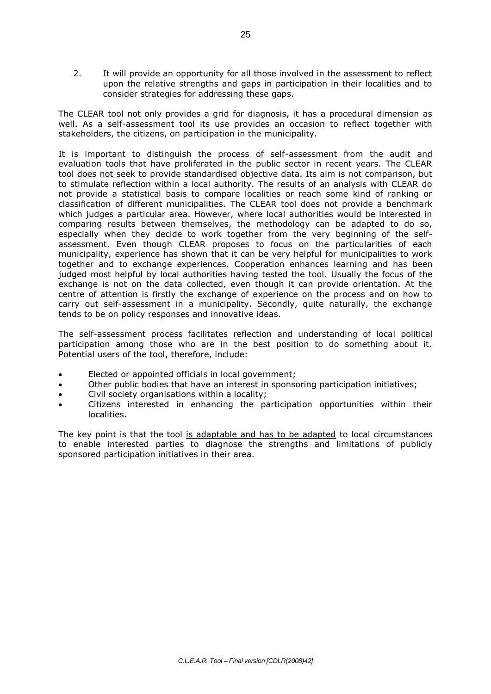2. It will provide an opportunity for all those involved in the assessment to reflect upon the relative strengths and gaps in participation in their localities and to consider strategies for addressing these gaps.

The CLEAR tool not only provides a grid for diagnosis, it has a procedural dimension as well. As a self-assessment tool its use provides an occasion to reflect together with stakeholders, the citizens, on participation in the municipality.

It is important to distinguish the process of self-assessment from the audit and evaluation tools that have proliferated in the public sector in recent years. The CLEAR tool does not seek to provide standardised objective data. Its aim is not comparison, but to stimulate reflection within a local authority. The results of an analysis with CLEAR do not provide a statistical basis to compare localities or reach some kind of ranking or classification of different municipalities. The CLEAR tool does not provide a benchmark which judges a particular area. However, where local authorities would be interested in comparing results between themselves, the methodology can be adapted to do so, especially when they decide to work together from the very beginning of the selfassessment. Even though CLEAR proposes to focus on the particularities of each municipality, experience has shown that it can be very helpful for municipalities to work together and to exchange experiences. Cooperation enhances learning and has been judged most helpful by local authorities having tested the tool*.* Usually the focus of the exchange is not on the data collected, even though it can provide orientation. At the centre of attention is firstly the exchange of experience on the process and on how to carry out self-assessment in a municipality. Secondly, quite naturally, the exchange tends to be on policy responses and innovative ideas.

The self-assessment process facilitates reflection and understanding of local political participation among those who are in the best position to do something about it. Potential users of the tool, therefore, include:

- Elected or appointed officials in local government;
- Other public bodies that have an interest in sponsoring participation initiatives;
- Civil society organisations within a locality;
- Citizens interested in enhancing the participation opportunities within their localities.

The key point is that the tool is adaptable and has to be adapted to local circumstances to enable interested parties to diagnose the strengths and limitations of publicly sponsored participation initiatives in their area.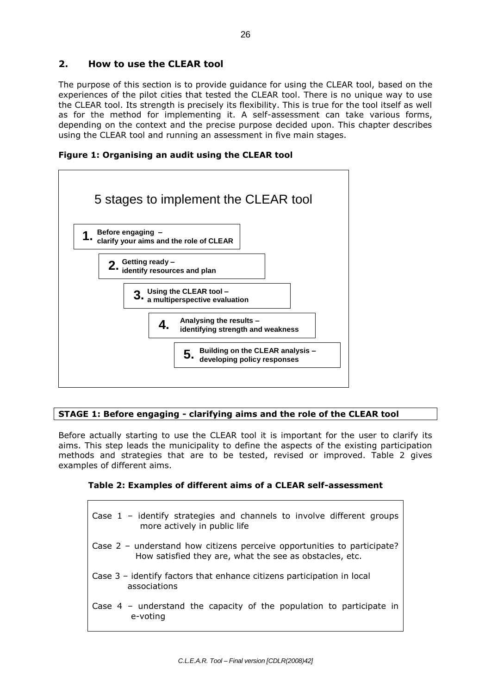## **2. How to use the CLEAR tool**

The purpose of this section is to provide guidance for using the CLEAR tool, based on the experiences of the pilot cities that tested the CLEAR tool. There is no unique way to use the CLEAR tool. Its strength is precisely its flexibility. This is true for the tool itself as well as for the method for implementing it. A self-assessment can take various forms, depending on the context and the precise purpose decided upon. This chapter describes using the CLEAR tool and running an assessment in five main stages.

**Figure 1: Organising an audit using the CLEAR tool**



## **STAGE 1: Before engaging - clarifying aims and the role of the CLEAR tool**

Before actually starting to use the CLEAR tool it is important for the user to clarify its aims. This step leads the municipality to define the aspects of the existing participation methods and strategies that are to be tested, revised or improved. Table 2 gives examples of different aims.

## **Table 2: Examples of different aims of a CLEAR self-assessment**

| Case $1$ – identify strategies and channels to involve different groups<br>more actively in public life                            |
|------------------------------------------------------------------------------------------------------------------------------------|
| Case 2 – understand how citizens perceive opportunities to participate?<br>How satisfied they are, what the see as obstacles, etc. |
| Case 3 – identify factors that enhance citizens participation in local<br>associations                                             |
| Case $4$ - understand the capacity of the population to participate in<br>e-voting                                                 |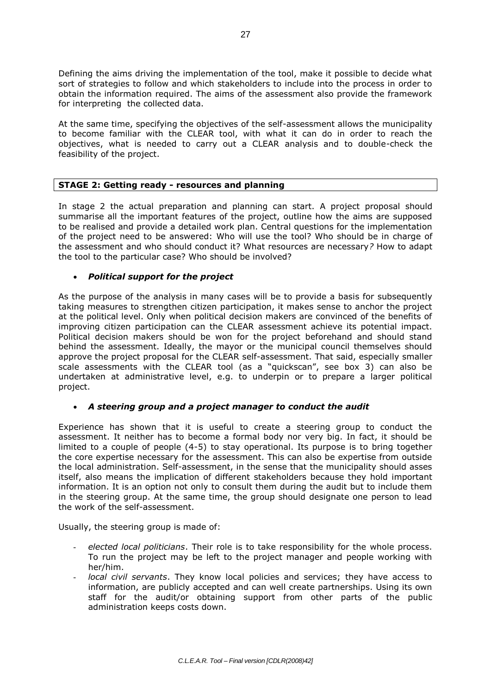Defining the aims driving the implementation of the tool, make it possible to decide what sort of strategies to follow and which stakeholders to include into the process in order to obtain the information required. The aims of the assessment also provide the framework for interpreting the collected data.

At the same time, specifying the objectives of the self-assessment allows the municipality to become familiar with the CLEAR tool, with what it can do in order to reach the objectives, what is needed to carry out a CLEAR analysis and to double-check the feasibility of the project.

## **STAGE 2: Getting ready - resources and planning**

In stage 2 the actual preparation and planning can start. A project proposal should summarise all the important features of the project, outline how the aims are supposed to be realised and provide a detailed work plan. Central questions for the implementation of the project need to be answered: Who will use the tool? Who should be in charge of the assessment and who should conduct it? What resources are necessary*?* How to adapt the tool to the particular case? Who should be involved?

## *Political support for the project*

As the purpose of the analysis in many cases will be to provide a basis for subsequently taking measures to strengthen citizen participation, it makes sense to anchor the project at the political level. Only when political decision makers are convinced of the benefits of improving citizen participation can the CLEAR assessment achieve its potential impact. Political decision makers should be won for the project beforehand and should stand behind the assessment. Ideally, the mayor or the municipal council themselves should approve the project proposal for the CLEAR self-assessment. That said, especially smaller scale assessments with the CLEAR tool (as a "quickscan", see box 3) can also be undertaken at administrative level, e.g. to underpin or to prepare a larger political project.

## *A steering group and a project manager to conduct the audit*

Experience has shown that it is useful to create a steering group to conduct the assessment. It neither has to become a formal body nor very big. In fact, it should be limited to a couple of people (4-5) to stay operational. Its purpose is to bring together the core expertise necessary for the assessment. This can also be expertise from outside the local administration. Self-assessment, in the sense that the municipality should asses itself, also means the implication of different stakeholders because they hold important information. It is an option not only to consult them during the audit but to include them in the steering group. At the same time, the group should designate one person to lead the work of the self-assessment.

Usually, the steering group is made of:

- *elected local politicians*. Their role is to take responsibility for the whole process. To run the project may be left to the project manager and people working with her/him.
- *local civil servants*. They know local policies and services; they have access to information, are publicly accepted and can well create partnerships. Using its own staff for the audit/or obtaining support from other parts of the public administration keeps costs down.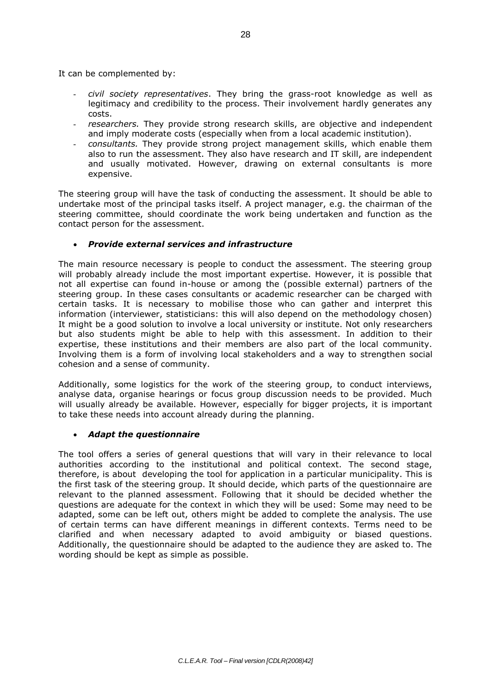It can be complemented by:

- *civil society representatives*. They bring the grass-root knowledge as well as legitimacy and credibility to the process. Their involvement hardly generates any costs.
- *researchers.* They provide strong research skills, are objective and independent and imply moderate costs (especially when from a local academic institution).
- *consultants.* They provide strong project management skills, which enable them also to run the assessment. They also have research and IT skill, are independent and usually motivated. However, drawing on external consultants is more expensive.

The steering group will have the task of conducting the assessment. It should be able to undertake most of the principal tasks itself. A project manager, e.g. the chairman of the steering committee, should coordinate the work being undertaken and function as the contact person for the assessment.

## *Provide external services and infrastructure*

The main resource necessary is people to conduct the assessment. The steering group will probably already include the most important expertise. However, it is possible that not all expertise can found in-house or among the (possible external) partners of the steering group. In these cases consultants or academic researcher can be charged with certain tasks. It is necessary to mobilise those who can gather and interpret this information (interviewer, statisticians: this will also depend on the methodology chosen) It might be a good solution to involve a local university or institute. Not only researchers but also students might be able to help with this assessment. In addition to their expertise, these institutions and their members are also part of the local community. Involving them is a form of involving local stakeholders and a way to strengthen social cohesion and a sense of community.

Additionally, some logistics for the work of the steering group, to conduct interviews, analyse data, organise hearings or focus group discussion needs to be provided. Much will usually already be available. However, especially for bigger projects, it is important to take these needs into account already during the planning.

## *Adapt the questionnaire*

The tool offers a series of general questions that will vary in their relevance to local authorities according to the institutional and political context. The second stage, therefore, is about developing the tool for application in a particular municipality. This is the first task of the steering group. It should decide, which parts of the questionnaire are relevant to the planned assessment. Following that it should be decided whether the questions are adequate for the context in which they will be used: Some may need to be adapted, some can be left out, others might be added to complete the analysis. The use of certain terms can have different meanings in different contexts. Terms need to be clarified and when necessary adapted to avoid ambiguity or biased questions. Additionally, the questionnaire should be adapted to the audience they are asked to. The wording should be kept as simple as possible.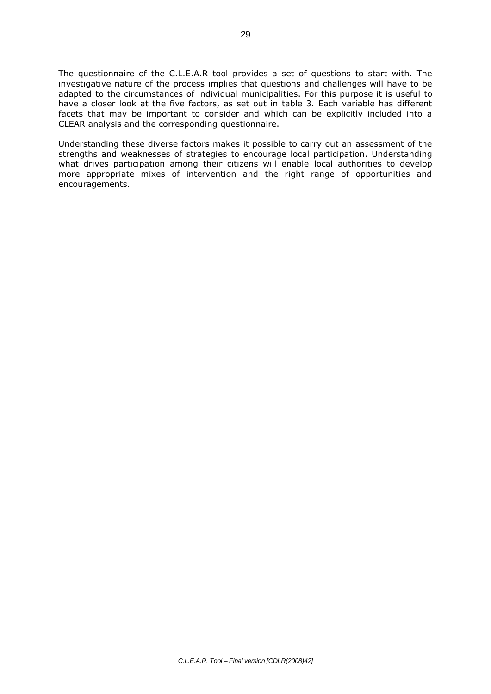The questionnaire of the C.L.E.A.R tool provides a set of questions to start with. The investigative nature of the process implies that questions and challenges will have to be adapted to the circumstances of individual municipalities. For this purpose it is useful to have a closer look at the five factors, as set out in table 3. Each variable has different facets that may be important to consider and which can be explicitly included into a CLEAR analysis and the corresponding questionnaire.

Understanding these diverse factors makes it possible to carry out an assessment of the strengths and weaknesses of strategies to encourage local participation. Understanding what drives participation among their citizens will enable local authorities to develop more appropriate mixes of intervention and the right range of opportunities and encouragements.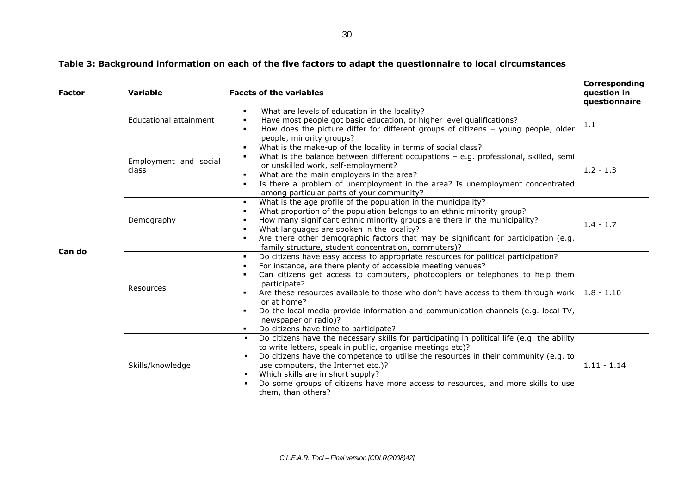## **Table 3: Background information on each of the five factors to adapt the questionnaire to local circumstances**

| <b>Factor</b> | Variable                       | <b>Facets of the variables</b>                                                                                                                                                                                                                                                                                                                                                                                                                                                                                        | Corresponding<br>question in<br>questionnaire |
|---------------|--------------------------------|-----------------------------------------------------------------------------------------------------------------------------------------------------------------------------------------------------------------------------------------------------------------------------------------------------------------------------------------------------------------------------------------------------------------------------------------------------------------------------------------------------------------------|-----------------------------------------------|
| Can do        | Educational attainment         | What are levels of education in the locality?<br>п.<br>Have most people got basic education, or higher level qualifications?<br>٠<br>How does the picture differ for different groups of citizens - young people, older<br>٠<br>people, minority groups?                                                                                                                                                                                                                                                              | 1.1                                           |
|               | Employment and social<br>class | What is the make-up of the locality in terms of social class?<br>٠<br>What is the balance between different occupations $-$ e.g. professional, skilled, semi<br>$\blacksquare$<br>or unskilled work, self-employment?<br>What are the main employers in the area?<br>٠<br>Is there a problem of unemployment in the area? Is unemployment concentrated<br>among particular parts of your community?                                                                                                                   | $1.2 - 1.3$                                   |
|               | Demography                     | What is the age profile of the population in the municipality?<br>$\blacksquare$<br>What proportion of the population belongs to an ethnic minority group?<br>٠.<br>How many significant ethnic minority groups are there in the municipality?<br>What languages are spoken in the locality?<br>Are there other demographic factors that may be significant for participation (e.g.<br>family structure, student concentration, commuters)?                                                                           | $1.4 - 1.7$                                   |
|               | Resources                      | Do citizens have easy access to appropriate resources for political participation?<br>٠.<br>For instance, are there plenty of accessible meeting venues?<br>Can citizens get access to computers, photocopiers or telephones to help them<br>participate?<br>Are these resources available to those who don't have access to them through work  <br>or at home?<br>Do the local media provide information and communication channels (e.g. local TV,<br>newspaper or radio)?<br>Do citizens have time to participate? | $1.8 - 1.10$                                  |
|               | Skills/knowledge               | Do citizens have the necessary skills for participating in political life (e.g. the ability<br>to write letters, speak in public, organise meetings etc)?<br>Do citizens have the competence to utilise the resources in their community (e.g. to<br>use computers, the Internet etc.)?<br>Which skills are in short supply?<br>Do some groups of citizens have more access to resources, and more skills to use<br>them, than others?                                                                                | $1.11 - 1.14$                                 |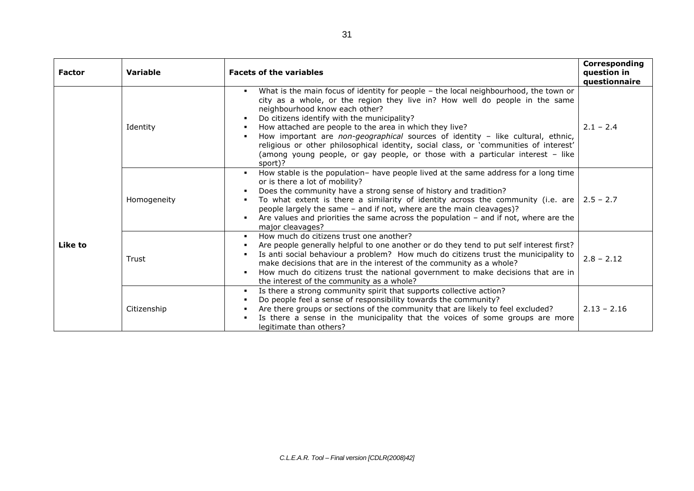| <b>Factor</b> | <b>Variable</b> | <b>Facets of the variables</b>                                                                                                                                                                                                                                                                                                                                                                                                                                                                                                                                                           | Corresponding<br>question in<br>questionnaire |
|---------------|-----------------|------------------------------------------------------------------------------------------------------------------------------------------------------------------------------------------------------------------------------------------------------------------------------------------------------------------------------------------------------------------------------------------------------------------------------------------------------------------------------------------------------------------------------------------------------------------------------------------|-----------------------------------------------|
|               | Identity        | What is the main focus of identity for people - the local neighbourhood, the town or<br>city as a whole, or the region they live in? How well do people in the same<br>neighbourhood know each other?<br>Do citizens identify with the municipality?<br>How attached are people to the area in which they live?<br>How important are non-geographical sources of identity - like cultural, ethnic,<br>religious or other philosophical identity, social class, or 'communities of interest'<br>(among young people, or gay people, or those with a particular interest - like<br>sport)? | $2.1 - 2.4$                                   |
| Like to       | Homogeneity     | How stable is the population- have people lived at the same address for a long time<br>$\blacksquare$<br>or is there a lot of mobility?<br>Does the community have a strong sense of history and tradition?<br>To what extent is there a similarity of identity across the community (i.e. are $\vert$ 2.5 - 2.7<br>people largely the same - and if not, where are the main cleavages)?<br>Are values and priorities the same across the population $-$ and if not, where are the<br>major cleavages?                                                                                   |                                               |
|               | Trust           | How much do citizens trust one another?<br>Are people generally helpful to one another or do they tend to put self interest first?<br>Is anti social behaviour a problem? How much do citizens trust the municipality to<br>make decisions that are in the interest of the community as a whole?<br>How much do citizens trust the national government to make decisions that are in<br>the interest of the community as a whole?                                                                                                                                                        | $2.8 - 2.12$                                  |
|               | Citizenship     | Is there a strong community spirit that supports collective action?<br>٠.<br>Do people feel a sense of responsibility towards the community?<br>Are there groups or sections of the community that are likely to feel excluded?<br>Is there a sense in the municipality that the voices of some groups are more<br>legitimate than others?                                                                                                                                                                                                                                               | $2.13 - 2.16$                                 |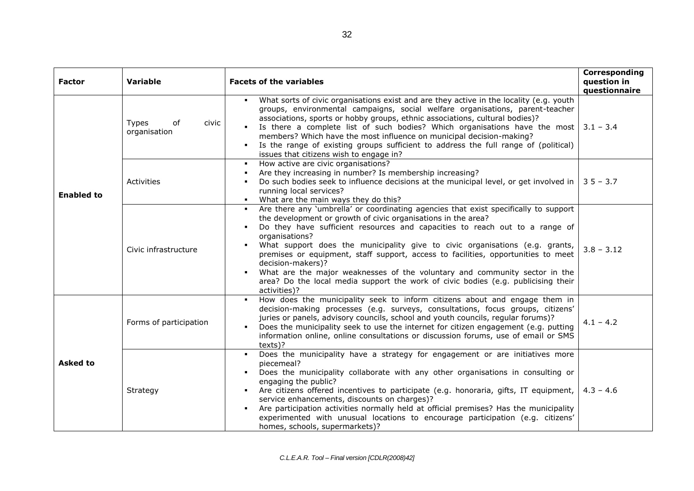| <b>Factor</b>     | <b>Variable</b>                             | <b>Facets of the variables</b>                                                                                                                                                                                                                                                                                                                                                                                                                                                                                                                                                                                                      | Corresponding<br>question in<br>questionnaire |
|-------------------|---------------------------------------------|-------------------------------------------------------------------------------------------------------------------------------------------------------------------------------------------------------------------------------------------------------------------------------------------------------------------------------------------------------------------------------------------------------------------------------------------------------------------------------------------------------------------------------------------------------------------------------------------------------------------------------------|-----------------------------------------------|
| <b>Enabled to</b> | <b>Types</b><br>of<br>civic<br>organisation | What sorts of civic organisations exist and are they active in the locality (e.g. youth<br>groups, environmental campaigns, social welfare organisations, parent-teacher<br>associations, sports or hobby groups, ethnic associations, cultural bodies)?<br>Is there a complete list of such bodies? Which organisations have the most $3.1 - 3.4$<br>members? Which have the most influence on municipal decision-making?<br>Is the range of existing groups sufficient to address the full range of (political)<br>issues that citizens wish to engage in?                                                                        |                                               |
|                   | Activities                                  | How active are civic organisations?<br>Are they increasing in number? Is membership increasing?<br>Do such bodies seek to influence decisions at the municipal level, or get involved in $\vert$ 3 5 - 3.7<br>running local services?<br>• What are the main ways they do this?                                                                                                                                                                                                                                                                                                                                                     |                                               |
|                   | Civic infrastructure                        | Are there any 'umbrella' or coordinating agencies that exist specifically to support<br>the development or growth of civic organisations in the area?<br>Do they have sufficient resources and capacities to reach out to a range of<br>organisations?<br>What support does the municipality give to civic organisations (e.g. grants,<br>premises or equipment, staff support, access to facilities, opportunities to meet<br>decision-makers)?<br>What are the major weaknesses of the voluntary and community sector in the<br>area? Do the local media support the work of civic bodies (e.g. publicising their<br>activities)? | $3.8 - 3.12$                                  |
| <b>Asked to</b>   | Forms of participation                      | How does the municipality seek to inform citizens about and engage them in<br>decision-making processes (e.g. surveys, consultations, focus groups, citizens'<br>juries or panels, advisory councils, school and youth councils, regular forums)?<br>Does the municipality seek to use the internet for citizen engagement (e.g. putting<br>information online, online consultations or discussion forums, use of email or SMS<br>texts)?                                                                                                                                                                                           | $4.1 - 4.2$                                   |
|                   | Strategy                                    | Does the municipality have a strategy for engagement or are initiatives more<br>piecemeal?<br>Does the municipality collaborate with any other organisations in consulting or<br>engaging the public?<br>Are citizens offered incentives to participate (e.g. honoraria, gifts, IT equipment,<br>$\blacksquare$<br>service enhancements, discounts on charges)?<br>Are participation activities normally held at official premises? Has the municipality<br>experimented with unusual locations to encourage participation (e.g. citizens'<br>homes, schools, supermarkets)?                                                        | $4.3 - 4.6$                                   |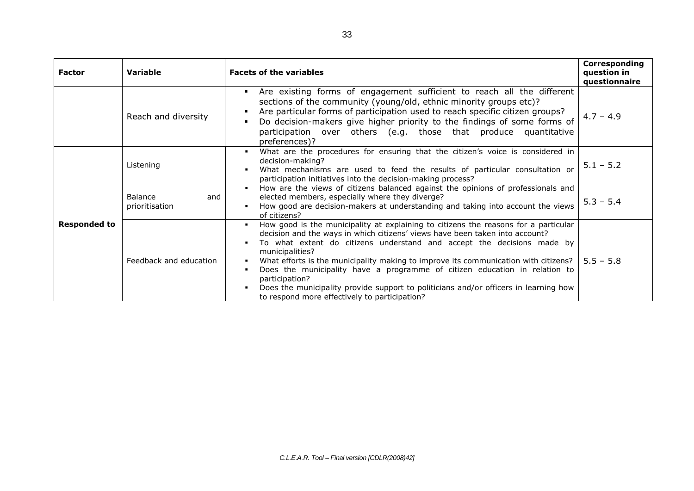| <b>Factor</b>       | <b>Variable</b>                  | <b>Facets of the variables</b>                                                                                                                                                                                                                                                                                                                                                                                                                                                                                                                                                                         | Corresponding<br>question in<br>questionnaire |
|---------------------|----------------------------------|--------------------------------------------------------------------------------------------------------------------------------------------------------------------------------------------------------------------------------------------------------------------------------------------------------------------------------------------------------------------------------------------------------------------------------------------------------------------------------------------------------------------------------------------------------------------------------------------------------|-----------------------------------------------|
|                     | Reach and diversity              | Are existing forms of engagement sufficient to reach all the different<br>sections of the community (young/old, ethnic minority groups etc)?<br>Are particular forms of participation used to reach specific citizen groups?<br>Do decision-makers give higher priority to the findings of some forms of<br>participation over others (e.g. those that produce quantitative<br>preferences)?                                                                                                                                                                                                           | $4.7 - 4.9$                                   |
| <b>Responded to</b> | Listening                        | What are the procedures for ensuring that the citizen's voice is considered in<br>decision-making?<br>What mechanisms are used to feed the results of particular consultation or<br>participation initiatives into the decision-making process?                                                                                                                                                                                                                                                                                                                                                        | $5.1 - 5.2$                                   |
|                     | Balance<br>and<br>prioritisation | How are the views of citizens balanced against the opinions of professionals and<br>л.<br>elected members, especially where they diverge?<br>How good are decision-makers at understanding and taking into account the views<br>of citizens?                                                                                                                                                                                                                                                                                                                                                           | $5.3 - 5.4$                                   |
|                     | Feedback and education           | How good is the municipality at explaining to citizens the reasons for a particular<br>л.<br>decision and the ways in which citizens' views have been taken into account?<br>To what extent do citizens understand and accept the decisions made by<br>municipalities?<br>What efforts is the municipality making to improve its communication with citizens?<br>Does the municipality have a programme of citizen education in relation to<br>participation?<br>Does the municipality provide support to politicians and/or officers in learning how<br>to respond more effectively to participation? | $5.5 - 5.8$                                   |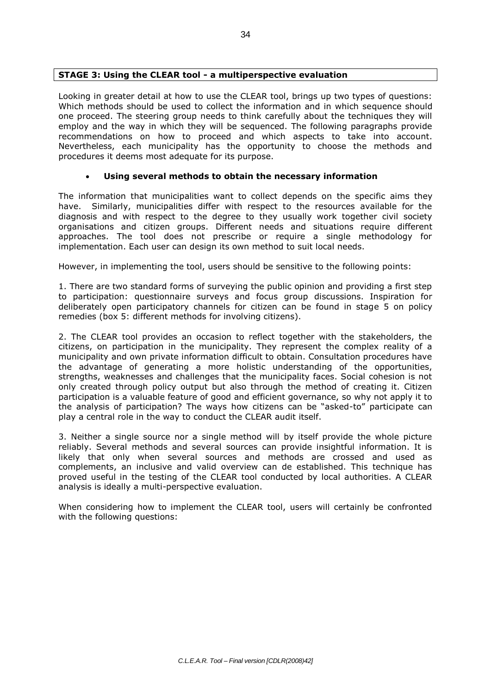## **STAGE 3: Using the CLEAR tool - a multiperspective evaluation**

Looking in greater detail at how to use the CLEAR tool, brings up two types of questions: Which methods should be used to collect the information and in which sequence should one proceed. The steering group needs to think carefully about the techniques they will employ and the way in which they will be sequenced. The following paragraphs provide recommendations on how to proceed and which aspects to take into account. Nevertheless, each municipality has the opportunity to choose the methods and procedures it deems most adequate for its purpose.

## **Using several methods to obtain the necessary information**

The information that municipalities want to collect depends on the specific aims they have. Similarly, municipalities differ with respect to the resources available for the diagnosis and with respect to the degree to they usually work together civil society organisations and citizen groups. Different needs and situations require different approaches. The tool does not prescribe or require a single methodology for implementation. Each user can design its own method to suit local needs.

However, in implementing the tool, users should be sensitive to the following points:

1. There are two standard forms of surveying the public opinion and providing a first step to participation: questionnaire surveys and focus group discussions. Inspiration for deliberately open participatory channels for citizen can be found in stage 5 on policy remedies (box 5: different methods for involving citizens).

2. The CLEAR tool provides an occasion to reflect together with the stakeholders, the citizens, on participation in the municipality. They represent the complex reality of a municipality and own private information difficult to obtain. Consultation procedures have the advantage of generating a more holistic understanding of the opportunities, strengths, weaknesses and challenges that the municipality faces. Social cohesion is not only created through policy output but also through the method of creating it. Citizen participation is a valuable feature of good and efficient governance, so why not apply it to the analysis of participation? The ways how citizens can be "asked-to" participate can play a central role in the way to conduct the CLEAR audit itself.

3. Neither a single source nor a single method will by itself provide the whole picture reliably. Several methods and several sources can provide insightful information. It is likely that only when several sources and methods are crossed and used as complements, an inclusive and valid overview can de established. This technique has proved useful in the testing of the CLEAR tool conducted by local authorities. A CLEAR analysis is ideally a multi-perspective evaluation.

When considering how to implement the CLEAR tool, users will certainly be confronted with the following questions: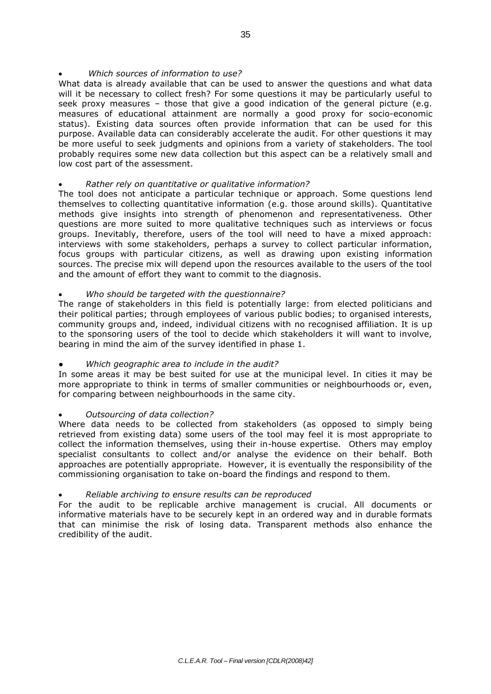## *Which sources of information to use?*

What data is already available that can be used to answer the questions and what data will it be necessary to collect fresh? For some questions it may be particularly useful to seek proxy measures – those that give a good indication of the general picture (e.g. measures of educational attainment are normally a good proxy for socio-economic status). Existing data sources often provide information that can be used for this purpose. Available data can considerably accelerate the audit. For other questions it may be more useful to seek judgments and opinions from a variety of stakeholders. The tool probably requires some new data collection but this aspect can be a relatively small and low cost part of the assessment.

## *Rather rely on quantitative or qualitative information?*

The tool does not anticipate a particular technique or approach. Some questions lend themselves to collecting quantitative information (e.g. those around skills). Quantitative methods give insights into strength of phenomenon and representativeness. Other questions are more suited to more qualitative techniques such as interviews or focus groups. Inevitably, therefore, users of the tool will need to have a mixed approach: interviews with some stakeholders, perhaps a survey to collect particular information, focus groups with particular citizens, as well as drawing upon existing information sources. The precise mix will depend upon the resources available to the users of the tool and the amount of effort they want to commit to the diagnosis.

## *Who should be targeted with the questionnaire?*

The range of stakeholders in this field is potentially large: from elected politicians and their political parties; through employees of various public bodies; to organised interests, community groups and, indeed, individual citizens with no recognised affiliation. It is up to the sponsoring users of the tool to decide which stakeholders it will want to involve, bearing in mind the aim of the survey identified in phase 1.

## Which geographic area to include in the audit?

In some areas it may be best suited for use at the municipal level. In cities it may be more appropriate to think in terms of smaller communities or neighbourhoods or, even, for comparing between neighbourhoods in the same city.

## *Outsourcing of data collection?*

Where data needs to be collected from stakeholders (as opposed to simply being retrieved from existing data) some users of the tool may feel it is most appropriate to collect the information themselves, using their in-house expertise. Others may employ specialist consultants to collect and/or analyse the evidence on their behalf. Both approaches are potentially appropriate. However, it is eventually the responsibility of the commissioning organisation to take on-board the findings and respond to them.

## *Reliable archiving to ensure results can be reproduced*

For the audit to be replicable archive management is crucial. All documents or informative materials have to be securely kept in an ordered way and in durable formats that can minimise the risk of losing data. Transparent methods also enhance the credibility of the audit.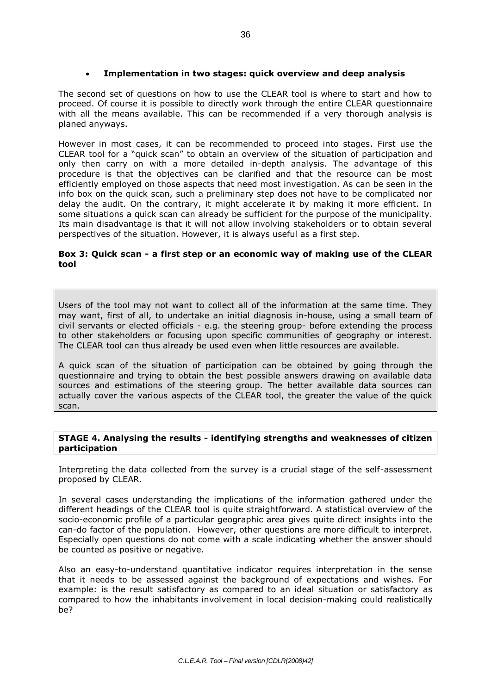## **Implementation in two stages: quick overview and deep analysis**

The second set of questions on how to use the CLEAR tool is where to start and how to proceed. Of course it is possible to directly work through the entire CLEAR questionnaire with all the means available. This can be recommended if a very thorough analysis is planed anyways.

However in most cases, it can be recommended to proceed into stages. First use the CLEAR tool for a "quick scan" to obtain an overview of the situation of participation and only then carry on with a more detailed in-depth analysis. The advantage of this procedure is that the objectives can be clarified and that the resource can be most efficiently employed on those aspects that need most investigation. As can be seen in the info box on the quick scan, such a preliminary step does not have to be complicated nor delay the audit. On the contrary, it might accelerate it by making it more efficient. In some situations a quick scan can already be sufficient for the purpose of the municipality. Its main disadvantage is that it will not allow involving stakeholders or to obtain several perspectives of the situation. However, it is always useful as a first step.

## **Box 3: Quick scan - a first step or an economic way of making use of the CLEAR tool**

Users of the tool may not want to collect all of the information at the same time. They may want, first of all, to undertake an initial diagnosis in-house, using a small team of civil servants or elected officials - e.g. the steering group- before extending the process to other stakeholders or focusing upon specific communities of geography or interest. The CLEAR tool can thus already be used even when little resources are available.

A quick scan of the situation of participation can be obtained by going through the questionnaire and trying to obtain the best possible answers drawing on available data sources and estimations of the steering group. The better available data sources can actually cover the various aspects of the CLEAR tool, the greater the value of the quick scan.

## **STAGE 4. Analysing the results - identifying strengths and weaknesses of citizen participation**

Interpreting the data collected from the survey is a crucial stage of the self-assessment proposed by CLEAR.

In several cases understanding the implications of the information gathered under the different headings of the CLEAR tool is quite straightforward. A statistical overview of the socio-economic profile of a particular geographic area gives quite direct insights into the can-do factor of the population. However, other questions are more difficult to interpret. Especially open questions do not come with a scale indicating whether the answer should be counted as positive or negative.

Also an easy-to-understand quantitative indicator requires interpretation in the sense that it needs to be assessed against the background of expectations and wishes. For example: is the result satisfactory as compared to an ideal situation or satisfactory as compared to how the inhabitants involvement in local decision-making could realistically be?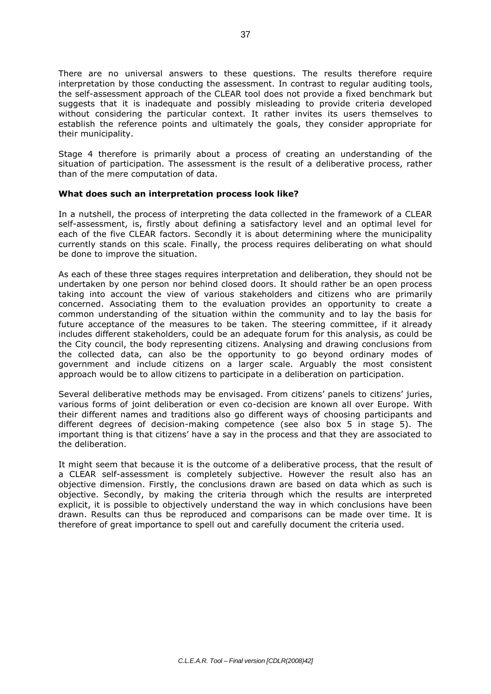There are no universal answers to these questions. The results therefore require interpretation by those conducting the assessment. In contrast to regular auditing tools, the self-assessment approach of the CLEAR tool does not provide a fixed benchmark but suggests that it is inadequate and possibly misleading to provide criteria developed without considering the particular context. It rather invites its users themselves to establish the reference points and ultimately the goals, they consider appropriate for their municipality.

Stage 4 therefore is primarily about a process of creating an understanding of the situation of participation. The assessment is the result of a deliberative process, rather than of the mere computation of data.

#### **What does such an interpretation process look like?**

In a nutshell, the process of interpreting the data collected in the framework of a CLEAR self-assessment, is, firstly about defining a satisfactory level and an optimal level for each of the five CLEAR factors. Secondly it is about determining where the municipality currently stands on this scale. Finally, the process requires deliberating on what should be done to improve the situation.

As each of these three stages requires interpretation and deliberation, they should not be undertaken by one person nor behind closed doors. It should rather be an open process taking into account the view of various stakeholders and citizens who are primarily concerned. Associating them to the evaluation provides an opportunity to create a common understanding of the situation within the community and to lay the basis for future acceptance of the measures to be taken. The steering committee, if it already includes different stakeholders, could be an adequate forum for this analysis, as could be the City council, the body representing citizens. Analysing and drawing conclusions from the collected data, can also be the opportunity to go beyond ordinary modes of government and include citizens on a larger scale. Arguably the most consistent approach would be to allow citizens to participate in a deliberation on participation.

Several deliberative methods may be envisaged. From citizens' panels to citizens' juries, various forms of joint deliberation or even co-decision are known all over Europe. With their different names and traditions also go different ways of choosing participants and different degrees of decision-making competence (see also box 5 in stage 5). The important thing is that citizens' have a say in the process and that they are associated to the deliberation.

It might seem that because it is the outcome of a deliberative process, that the result of a CLEAR self-assessment is completely subjective. However the result also has an objective dimension. Firstly, the conclusions drawn are based on data which as such is objective. Secondly, by making the criteria through which the results are interpreted explicit, it is possible to objectively understand the way in which conclusions have been drawn. Results can thus be reproduced and comparisons can be made over time. It is therefore of great importance to spell out and carefully document the criteria used.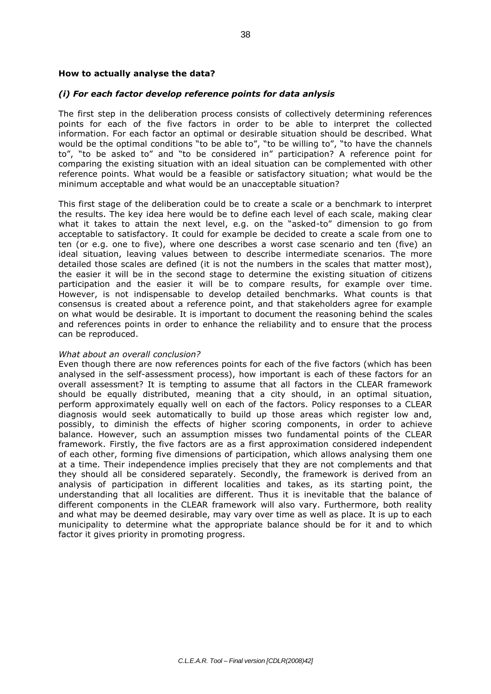#### **How to actually analyse the data?**

#### *(i) For each factor develop reference points for data anlysis*

The first step in the deliberation process consists of collectively determining references points for each of the five factors in order to be able to interpret the collected information. For each factor an optimal or desirable situation should be described. What would be the optimal conditions "to be able to", "to be willing to", "to have the channels to", "to be asked to" and "to be considered in" participation? A reference point for comparing the existing situation with an ideal situation can be complemented with other reference points. What would be a feasible or satisfactory situation; what would be the minimum acceptable and what would be an unacceptable situation?

This first stage of the deliberation could be to create a scale or a benchmark to interpret the results. The key idea here would be to define each level of each scale, making clear what it takes to attain the next level, e.g. on the "asked-to" dimension to go from acceptable to satisfactory. It could for example be decided to create a scale from one to ten (or e.g. one to five), where one describes a worst case scenario and ten (five) an ideal situation, leaving values between to describe intermediate scenarios. The more detailed those scales are defined (it is not the numbers in the scales that matter most), the easier it will be in the second stage to determine the existing situation of citizens participation and the easier it will be to compare results, for example over time. However, is not indispensable to develop detailed benchmarks. What counts is that consensus is created about a reference point, and that stakeholders agree for example on what would be desirable. It is important to document the reasoning behind the scales and references points in order to enhance the reliability and to ensure that the process can be reproduced.

#### *What about an overall conclusion?*

Even though there are now references points for each of the five factors (which has been analysed in the self-assessment process), how important is each of these factors for an overall assessment? It is tempting to assume that all factors in the CLEAR framework should be equally distributed, meaning that a city should, in an optimal situation, perform approximately equally well on each of the factors. Policy responses to a CLEAR diagnosis would seek automatically to build up those areas which register low and, possibly, to diminish the effects of higher scoring components, in order to achieve balance. However, such an assumption misses two fundamental points of the CLEAR framework. Firstly, the five factors are as a first approximation considered independent of each other, forming five dimensions of participation, which allows analysing them one at a time. Their independence implies precisely that they are not complements and that they should all be considered separately. Secondly, the framework is derived from an analysis of participation in different localities and takes, as its starting point, the understanding that all localities are different. Thus it is inevitable that the balance of different components in the CLEAR framework will also vary. Furthermore, both reality and what may be deemed desirable, may vary over time as well as place. It is up to each municipality to determine what the appropriate balance should be for it and to which factor it gives priority in promoting progress.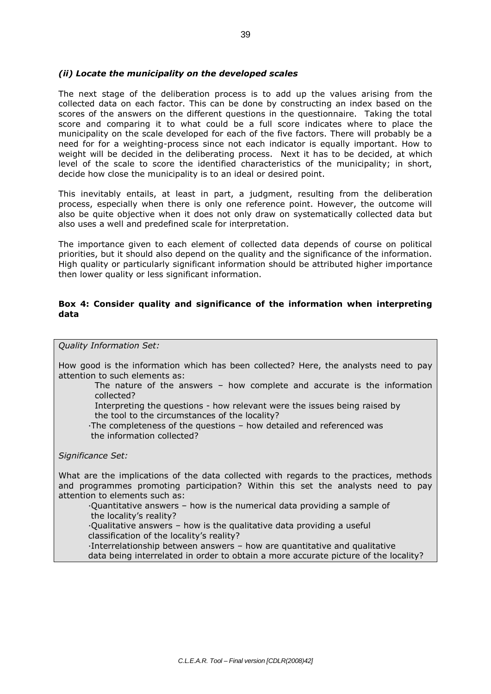## *(ii) Locate the municipality on the developed scales*

The next stage of the deliberation process is to add up the values arising from the collected data on each factor. This can be done by constructing an index based on the scores of the answers on the different questions in the questionnaire. Taking the total score and comparing it to what could be a full score indicates where to place the municipality on the scale developed for each of the five factors. There will probably be a need for for a weighting-process since not each indicator is equally important. How to weight will be decided in the deliberating process. Next it has to be decided, at which level of the scale to score the identified characteristics of the municipality; in short, decide how close the municipality is to an ideal or desired point.

This inevitably entails, at least in part, a judgment, resulting from the deliberation process, especially when there is only one reference point. However, the outcome will also be quite objective when it does not only draw on systematically collected data but also uses a well and predefined scale for interpretation.

The importance given to each element of collected data depends of course on political priorities, but it should also depend on the quality and the significance of the information. High quality or particularly significant information should be attributed higher importance then lower quality or less significant information.

## **Box 4: Consider quality and significance of the information when interpreting data**

*Quality Information Set:*

How good is the information which has been collected? Here, the analysts need to pay attention to such elements as:

The nature of the answers – how complete and accurate is the information collected?

Interpreting the questions - how relevant were the issues being raised by the tool to the circumstances of the locality?

∙The completeness of the questions – how detailed and referenced was the information collected?

*Significance Set:*

What are the implications of the data collected with regards to the practices, methods and programmes promoting participation? Within this set the analysts need to pay attention to elements such as:

∙Quantitative answers – how is the numerical data providing a sample of

the locality's reality?

∙Qualitative answers – how is the qualitative data providing a useful classification of the locality's reality?

∙Interrelationship between answers – how are quantitative and qualitative

data being interrelated in order to obtain a more accurate picture of the locality?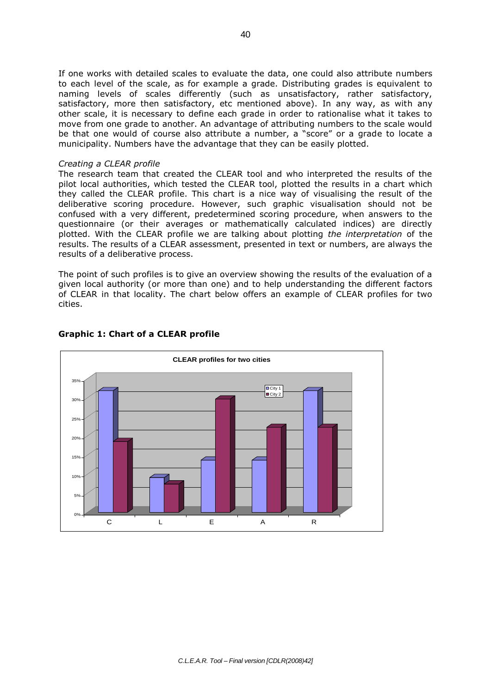If one works with detailed scales to evaluate the data, one could also attribute numbers to each level of the scale, as for example a grade. Distributing grades is equivalent to naming levels of scales differently (such as unsatisfactory, rather satisfactory, satisfactory, more then satisfactory, etc mentioned above). In any way, as with any other scale, it is necessary to define each grade in order to rationalise what it takes to move from one grade to another. An advantage of attributing numbers to the scale would be that one would of course also attribute a number, a "score" or a grade to locate a municipality. Numbers have the advantage that they can be easily plotted.

#### *Creating a CLEAR profile*

The research team that created the CLEAR tool and who interpreted the results of the pilot local authorities, which tested the CLEAR tool, plotted the results in a chart which they called the CLEAR profile. This chart is a nice way of visualising the result of the deliberative scoring procedure. However, such graphic visualisation should not be confused with a very different, predetermined scoring procedure, when answers to the questionnaire (or their averages or mathematically calculated indices) are directly plotted. With the CLEAR profile we are talking about plotting *the interpretation* of the results. The results of a CLEAR assessment, presented in text or numbers, are always the results of a deliberative process.

The point of such profiles is to give an overview showing the results of the evaluation of a given local authority (or more than one) and to help understanding the different factors of CLEAR in that locality. The chart below offers an example of CLEAR profiles for two cities.



## **Graphic 1: Chart of a CLEAR profile**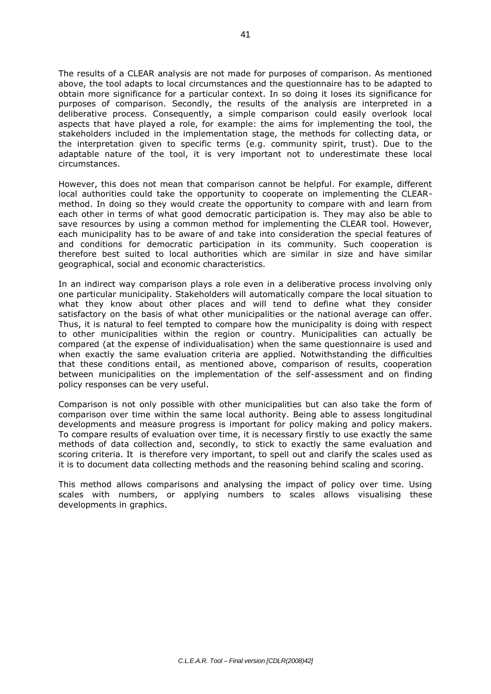The results of a CLEAR analysis are not made for purposes of comparison. As mentioned above, the tool adapts to local circumstances and the questionnaire has to be adapted to obtain more significance for a particular context. In so doing it loses its significance for purposes of comparison. Secondly, the results of the analysis are interpreted in a deliberative process. Consequently, a simple comparison could easily overlook local aspects that have played a role, for example: the aims for implementing the tool, the stakeholders included in the implementation stage, the methods for collecting data, or the interpretation given to specific terms (e.g. community spirit, trust). Due to the adaptable nature of the tool, it is very important not to underestimate these local circumstances.

However, this does not mean that comparison cannot be helpful. For example, different local authorities could take the opportunity to cooperate on implementing the CLEARmethod. In doing so they would create the opportunity to compare with and learn from each other in terms of what good democratic participation is. They may also be able to save resources by using a common method for implementing the CLEAR tool. However, each municipality has to be aware of and take into consideration the special features of and conditions for democratic participation in its community. Such cooperation is therefore best suited to local authorities which are similar in size and have similar geographical, social and economic characteristics.

In an indirect way comparison plays a role even in a deliberative process involving only one particular municipality. Stakeholders will automatically compare the local situation to what they know about other places and will tend to define what they consider satisfactory on the basis of what other municipalities or the national average can offer. Thus, it is natural to feel tempted to compare how the municipality is doing with respect to other municipalities within the region or country. Municipalities can actually be compared (at the expense of individualisation) when the same questionnaire is used and when exactly the same evaluation criteria are applied. Notwithstanding the difficulties that these conditions entail, as mentioned above, comparison of results, cooperation between municipalities on the implementation of the self-assessment and on finding policy responses can be very useful.

Comparison is not only possible with other municipalities but can also take the form of comparison over time within the same local authority. Being able to assess longitudinal developments and measure progress is important for policy making and policy makers. To compare results of evaluation over time, it is necessary firstly to use exactly the same methods of data collection and, secondly, to stick to exactly the same evaluation and scoring criteria. It is therefore very important, to spell out and clarify the scales used as it is to document data collecting methods and the reasoning behind scaling and scoring.

This method allows comparisons and analysing the impact of policy over time. Using scales with numbers, or applying numbers to scales allows visualising these developments in graphics.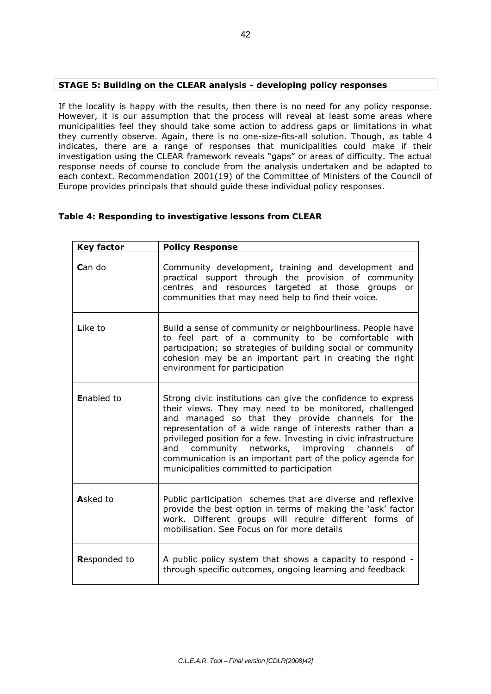## **STAGE 5: Building on the CLEAR analysis - developing policy responses**

If the locality is happy with the results, then there is no need for any policy response. However, it is our assumption that the process will reveal at least some areas where municipalities feel they should take some action to address gaps or limitations in what they currently observe. Again, there is no one-size-fits-all solution. Though, as table 4 indicates, there are a range of responses that municipalities could make if their investigation using the CLEAR framework reveals "gaps" or areas of difficulty. The actual response needs of course to conclude from the analysis undertaken and be adapted to each context. Recommendation 2001(19) of the Committee of Ministers of the Council of Europe provides principals that should guide these individual policy responses.

## **Table 4: Responding to investigative lessons from CLEAR**

| <b>Key factor</b>   | <b>Policy Response</b>                                                                                                                                                                                                                                                                                                                                                                                                                                                       |
|---------------------|------------------------------------------------------------------------------------------------------------------------------------------------------------------------------------------------------------------------------------------------------------------------------------------------------------------------------------------------------------------------------------------------------------------------------------------------------------------------------|
| <b>C</b> an do      | Community development, training and development and<br>practical support through the provision of community<br>centres and resources targeted at those groups<br>or<br>communities that may need help to find their voice.                                                                                                                                                                                                                                                   |
| Like to             | Build a sense of community or neighbourliness. People have<br>to feel part of a community to be comfortable with<br>participation; so strategies of building social or community<br>cohesion may be an important part in creating the right<br>environment for participation                                                                                                                                                                                                 |
| <b>Enabled to</b>   | Strong civic institutions can give the confidence to express<br>their views. They may need to be monitored, challenged<br>and managed so that they provide channels for the<br>representation of a wide range of interests rather than a<br>privileged position for a few. Investing in civic infrastructure<br>and community networks, improving channels<br>of<br>communication is an important part of the policy agenda for<br>municipalities committed to participation |
| Asked to            | Public participation schemes that are diverse and reflexive<br>provide the best option in terms of making the 'ask' factor<br>work. Different groups will require different forms of<br>mobilisation. See Focus on for more details                                                                                                                                                                                                                                          |
| <b>Responded to</b> | A public policy system that shows a capacity to respond -<br>through specific outcomes, ongoing learning and feedback                                                                                                                                                                                                                                                                                                                                                        |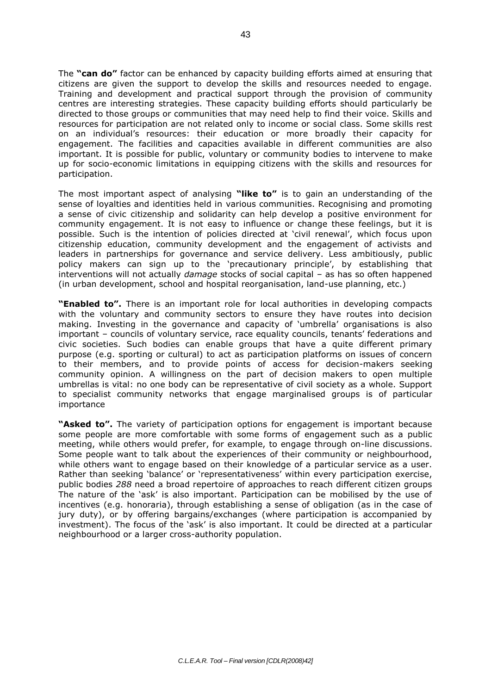The **"can do"** factor can be enhanced by capacity building efforts aimed at ensuring that citizens are given the support to develop the skills and resources needed to engage. Training and development and practical support through the provision of community centres are interesting strategies. These capacity building efforts should particularly be directed to those groups or communities that may need help to find their voice. Skills and resources for participation are not related only to income or social class. Some skills rest on an individual's resources: their education or more broadly their capacity for engagement. The facilities and capacities available in different communities are also important. It is possible for public, voluntary or community bodies to intervene to make up for socio-economic limitations in equipping citizens with the skills and resources for participation.

The most important aspect of analysing **"like to"** is to gain an understanding of the sense of loyalties and identities held in various communities. Recognising and promoting a sense of civic citizenship and solidarity can help develop a positive environment for community engagement. It is not easy to influence or change these feelings, but it is possible. Such is the intention of policies directed at 'civil renewal', which focus upon citizenship education, community development and the engagement of activists and leaders in partnerships for governance and service delivery. Less ambitiously, public policy makers can sign up to the 'precautionary principle', by establishing that interventions will not actually *damage* stocks of social capital – as has so often happened (in urban development, school and hospital reorganisation, land-use planning, etc.)

**"Enabled to".** There is an important role for local authorities in developing compacts with the voluntary and community sectors to ensure they have routes into decision making. Investing in the governance and capacity of 'umbrella' organisations is also important – councils of voluntary service, race equality councils, tenants' federations and civic societies. Such bodies can enable groups that have a quite different primary purpose (e.g. sporting or cultural) to act as participation platforms on issues of concern to their members, and to provide points of access for decision-makers seeking community opinion. A willingness on the part of decision makers to open multiple umbrellas is vital: no one body can be representative of civil society as a whole. Support to specialist community networks that engage marginalised groups is of particular importance

**"Asked to".** The variety of participation options for engagement is important because some people are more comfortable with some forms of engagement such as a public meeting, while others would prefer, for example, to engage through on-line discussions. Some people want to talk about the experiences of their community or neighbourhood, while others want to engage based on their knowledge of a particular service as a user. Rather than seeking 'balance' or 'representativeness' within every participation exercise, public bodies *288* need a broad repertoire of approaches to reach different citizen groups The nature of the 'ask' is also important. Participation can be mobilised by the use of incentives (e.g. honoraria), through establishing a sense of obligation (as in the case of jury duty), or by offering bargains/exchanges (where participation is accompanied by investment). The focus of the 'ask' is also important. It could be directed at a particular neighbourhood or a larger cross-authority population.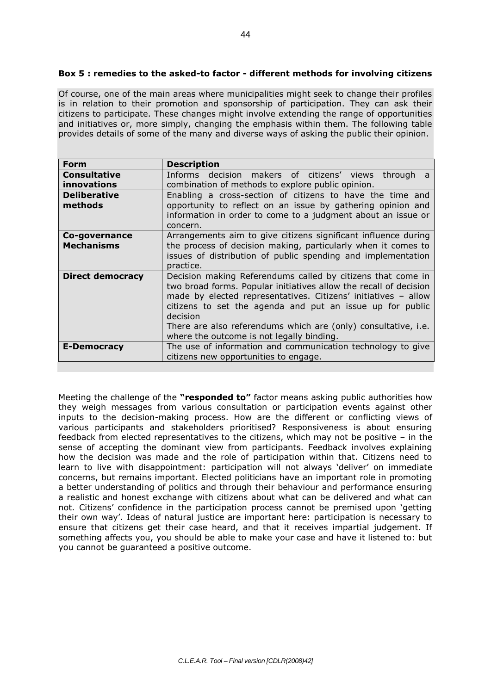## **Box 5 : remedies to the asked-to factor - different methods for involving citizens**

Of course, one of the main areas where municipalities might seek to change their profiles is in relation to their promotion and sponsorship of participation. They can ask their citizens to participate. These changes might involve extending the range of opportunities and initiatives or, more simply, changing the emphasis within them. The following table provides details of some of the many and diverse ways of asking the public their opinion.

| Form                    | <b>Description</b>                                                       |
|-------------------------|--------------------------------------------------------------------------|
| <b>Consultative</b>     | Informs decision makers of citizens' views through<br>a.                 |
| <b>innovations</b>      | combination of methods to explore public opinion.                        |
| <b>Deliberative</b>     | Enabling a cross-section of citizens to have the time and                |
| methods                 | opportunity to reflect on an issue by gathering opinion and              |
|                         | information in order to come to a judgment about an issue or<br>concern. |
| Co-governance           | Arrangements aim to give citizens significant influence during           |
| <b>Mechanisms</b>       | the process of decision making, particularly when it comes to            |
|                         | issues of distribution of public spending and implementation             |
|                         | practice.                                                                |
| <b>Direct democracy</b> | Decision making Referendums called by citizens that come in              |
|                         | two broad forms. Popular initiatives allow the recall of decision        |
|                         | made by elected representatives. Citizens' initiatives - allow           |
|                         | citizens to set the agenda and put an issue up for public<br>decision    |
|                         |                                                                          |
|                         | There are also referendums which are (only) consultative, i.e.           |
|                         | where the outcome is not legally binding.                                |
| <b>E-Democracy</b>      | The use of information and communication technology to give              |
|                         | citizens new opportunities to engage.                                    |

Meeting the challenge of the **"responded to"** factor means asking public authorities how they weigh messages from various consultation or participation events against other inputs to the decision-making process. How are the different or conflicting views of various participants and stakeholders prioritised? Responsiveness is about ensuring feedback from elected representatives to the citizens, which may not be positive – in the sense of accepting the dominant view from participants. Feedback involves explaining how the decision was made and the role of participation within that. Citizens need to learn to live with disappointment: participation will not always 'deliver' on immediate concerns, but remains important. Elected politicians have an important role in promoting a better understanding of politics and through their behaviour and performance ensuring a realistic and honest exchange with citizens about what can be delivered and what can not. Citizens' confidence in the participation process cannot be premised upon 'getting their own way'. Ideas of natural justice are important here: participation is necessary to ensure that citizens get their case heard, and that it receives impartial judgement. If something affects you, you should be able to make your case and have it listened to: but you cannot be guaranteed a positive outcome.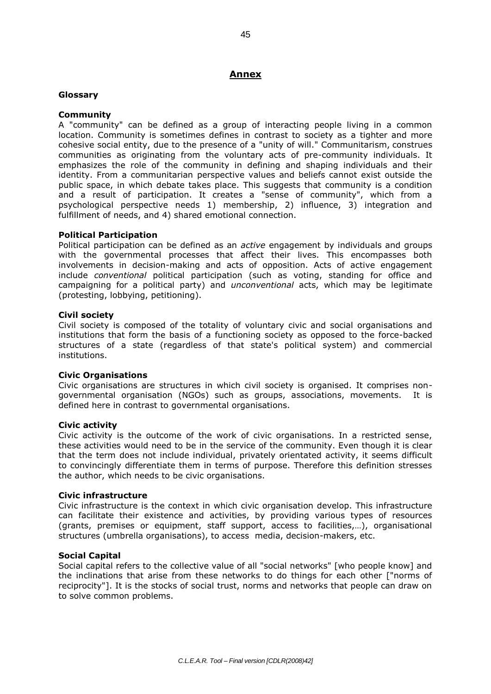## **Annex**

## **Glossary**

## **Community**

A "community" can be defined as a group of interacting people living in a common location. Community is sometimes defines in contrast to society as a tighter and more cohesive social entity, due to the presence of a "unity of will." Communitarism, construes communities as originating from the voluntary acts of pre-community individuals. It emphasizes the role of the community in defining and shaping individuals and their identity. From a communitarian perspective values and beliefs cannot exist outside the public space, in which debate takes place. This suggests that community is a condition and a result of participation. It creates a "sense of community", which from a psychological perspective needs 1) membership, 2) influence, 3) integration and fulfillment of needs, and 4) shared emotional connection.

## **Political Participation**

Political participation can be defined as an *active* engagement by individuals and groups with the governmental processes that affect their lives. This encompasses both involvements in decision-making and acts of opposition. Acts of active engagement include *conventional* political participation (such as voting, standing for office and campaigning for a political party) and *unconventional* acts, which may be legitimate (protesting, lobbying, petitioning).

## **Civil society**

Civil society is composed of the totality of voluntary civic and social organisations and institutions that form the basis of a functioning society as opposed to the force-backed structures of a state (regardless of that state's political system) and commercial institutions.

## **Civic Organisations**

Civic organisations are structures in which civil society is organised. It comprises nongovernmental organisation (NGOs) such as groups, associations, movements. It is defined here in contrast to governmental organisations.

## **Civic activity**

Civic activity is the outcome of the work of civic organisations. In a restricted sense, these activities would need to be in the service of the community. Even though it is clear that the term does not include individual, privately orientated activity, it seems difficult to convincingly differentiate them in terms of purpose. Therefore this definition stresses the author, which needs to be civic organisations.

## **Civic infrastructure**

Civic infrastructure is the context in which civic organisation develop. This infrastructure can facilitate their existence and activities, by providing various types of resources (grants, premises or equipment, staff support, access to facilities,…), organisational structures (umbrella organisations), to access media, decision-makers, etc.

## **Social Capital**

Social capital refers to the collective value of all "social networks" [who people know] and the inclinations that arise from these networks to do things for each other ["norms of reciprocity"]. It is the stocks of social trust, norms and networks that people can draw on to solve common problems.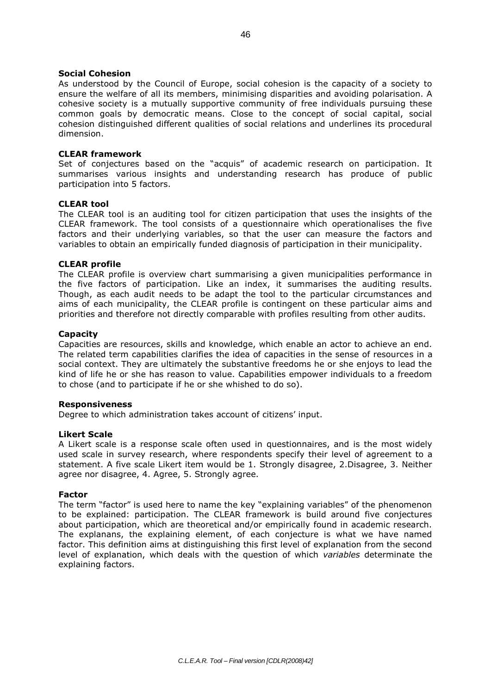As understood by the Council of Europe, social cohesion is the capacity of a society to ensure the welfare of all its members, minimising disparities and avoiding polarisation. A cohesive society is a mutually supportive community of free individuals pursuing these common goals by democratic means. Close to the concept of social capital, social cohesion distinguished different qualities of social relations and underlines its procedural dimension.

#### **CLEAR framework**

Set of conjectures based on the "acquis" of academic research on participation. It summarises various insights and understanding research has produce of public participation into 5 factors.

#### **CLEAR tool**

The CLEAR tool is an auditing tool for citizen participation that uses the insights of the CLEAR framework. The tool consists of a questionnaire which operationalises the five factors and their underlying variables, so that the user can measure the factors and variables to obtain an empirically funded diagnosis of participation in their municipality.

#### **CLEAR profile**

The CLEAR profile is overview chart summarising a given municipalities performance in the five factors of participation. Like an index, it summarises the auditing results. Though, as each audit needs to be adapt the tool to the particular circumstances and aims of each municipality, the CLEAR profile is contingent on these particular aims and priorities and therefore not directly comparable with profiles resulting from other audits.

#### **Capacity**

Capacities are resources, skills and knowledge, which enable an actor to achieve an end. The related term capabilities clarifies the idea of capacities in the sense of resources in a social context. They are ultimately the substantive freedoms he or she enjoys to lead the kind of life he or she has reason to value. Capabilities empower individuals to a freedom to chose (and to participate if he or she whished to do so).

#### **Responsiveness**

Degree to which administration takes account of citizens' input.

#### **Likert Scale**

A Likert scale is a response scale often used in questionnaires, and is the most widely used scale in survey research, where respondents specify their level of agreement to a statement. A five scale Likert item would be 1. Strongly disagree, 2.Disagree, 3. Neither agree nor disagree, 4. Agree, 5. Strongly agree.

#### **Factor**

The term "factor" is used here to name the key "explaining variables" of the phenomenon to be explained: participation. The CLEAR framework is build around five conjectures about participation, which are theoretical and/or empirically found in academic research. The explanans, the explaining element, of each conjecture is what we have named factor. This definition aims at distinguishing this first level of explanation from the second level of explanation, which deals with the question of which *variables* determinate the explaining factors.